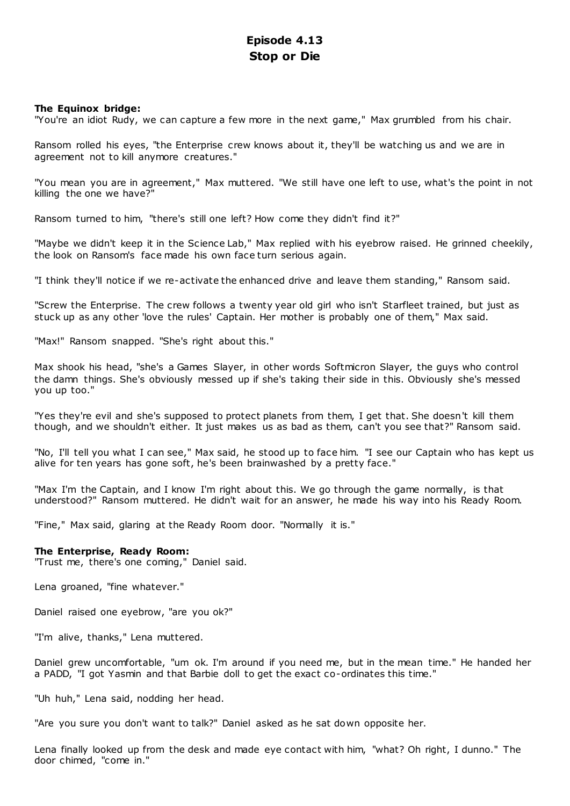# **Episode 4.13 Stop or Die**

# **The Equinox bridge:**

"You're an idiot Rudy, we can capture a few more in the next game," Max grumbled from his chair.

Ransom rolled his eyes, "the Enterprise crew knows about it, they'll be watching us and we are in agreement not to kill anymore creatures."

"You mean you are in agreement," Max muttered. "We still have one left to use, what's the point in not killing the one we have?"

Ransom turned to him, "there's still one left? How come they didn't find it?"

"Maybe we didn't keep it in the Science Lab," Max replied with his eyebrow raised. He grinned cheekily, the look on Ransom's face made his own face turn serious again.

"I think they'll notice if we re-activate the enhanced drive and leave them standing," Ransom said.

"Screw the Enterprise. The crew follows a twenty year old girl who isn't Starfleet trained, but just as stuck up as any other 'love the rules' Captain. Her mother is probably one of them," Max said.

"Max!" Ransom snapped. "She's right about this."

Max shook his head, "she's a Games Slayer, in other words Softmicron Slayer, the guys who control the damn things. She's obviously messed up if she's taking their side in this. Obviously she's messed you up too."

"Yes they're evil and she's supposed to protect planets from them, I get that. She doesn't kill them though, and we shouldn't either. It just makes us as bad as them, can't you see that?" Ransom said.

"No, I'll tell you what I can see," Max said, he stood up to face him. "I see our Captain who has kept us alive for ten years has gone soft, he's been brainwashed by a pretty face."

"Max I'm the Captain, and I know I'm right about this. We go through the game normally, is that understood?" Ransom muttered. He didn't wait for an answer, he made his way into his Ready Room.

"Fine," Max said, glaring at the Ready Room door. "Normally it is."

# **The Enterprise, Ready Room:**

"Trust me, there's one coming," Daniel said.

Lena groaned, "fine whatever."

Daniel raised one eyebrow, "are you ok?"

"I'm alive, thanks," Lena muttered.

Daniel grew uncomfortable, "um ok. I'm around if you need me, but in the mean time." He handed her a PADD, "I got Yasmin and that Barbie doll to get the exact co-ordinates this time."

"Uh huh," Lena said, nodding her head.

"Are you sure you don't want to talk?" Daniel asked as he sat down opposite her.

Lena finally looked up from the desk and made eye contact with him, "what? Oh right, I dunno." The door chimed, "come in."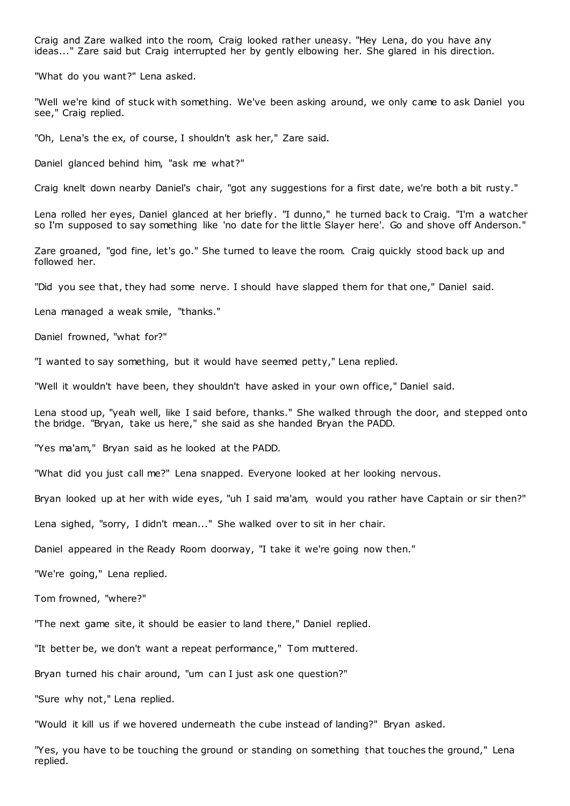Craig and Zare walked into the room, Craig looked rather uneasy. "Hey Lena, do you have any ideas..." Zare said but Craig interrupted her by gently elbowing her. She glared in his direction.

"What do you want?" Lena asked.

"Well we're kind of stuck with something. We've been asking around, we only came to ask Daniel you see," Craig replied.

"Oh, Lena's the ex, of course, I shouldn't ask her," Zare said.

Daniel glanced behind him, "ask me what?"

Craig knelt down nearby Daniel's chair, "got any suggestions for a first date, we're both a bit rusty."

Lena rolled her eyes, Daniel glanced at her briefly. "I dunno," he turned back to Craig. "I'm a watcher so I'm supposed to say something like 'no date for the little Slayer here'. Go and shove off Anderson."

Zare groaned, "god fine, let's go." She turned to leave the room. Craig quickly stood back up and followed her.

"Did you see that, they had some nerve. I should have slapped them for that one," Daniel said.

Lena managed a weak smile, "thanks."

Daniel frowned, "what for?"

"I wanted to say something, but it would have seemed petty," Lena replied.

"Well it wouldn't have been, they shouldn't have asked in your own office," Daniel said.

Lena stood up, "yeah well, like I said before, thanks." She walked through the door, and stepped onto the bridge. "Bryan, take us here," she said as she handed Bryan the PADD.

"Yes ma'am," Bryan said as he looked at the PADD.

"What did you just call me?" Lena snapped. Everyone looked at her looking nervous.

Bryan looked up at her with wide eyes, "uh I said ma'am, would you rather have Captain or sir then?"

Lena sighed, "sorry, I didn't mean..." She walked over to sit in her chair.

Daniel appeared in the Ready Room doorway, "I take it we're going now then."

"We're going," Lena replied.

Tom frowned, "where?"

"The next game site, it should be easier to land there," Daniel replied.

"It better be, we don't want a repeat performance," Tom muttered.

Bryan turned his chair around, "um can I just ask one question?"

"Sure why not," Lena replied.

"Would it kill us if we hovered underneath the cube instead of landing?" Bryan asked.

"Yes, you have to be touching the ground or standing on something that touches the ground," Lena replied.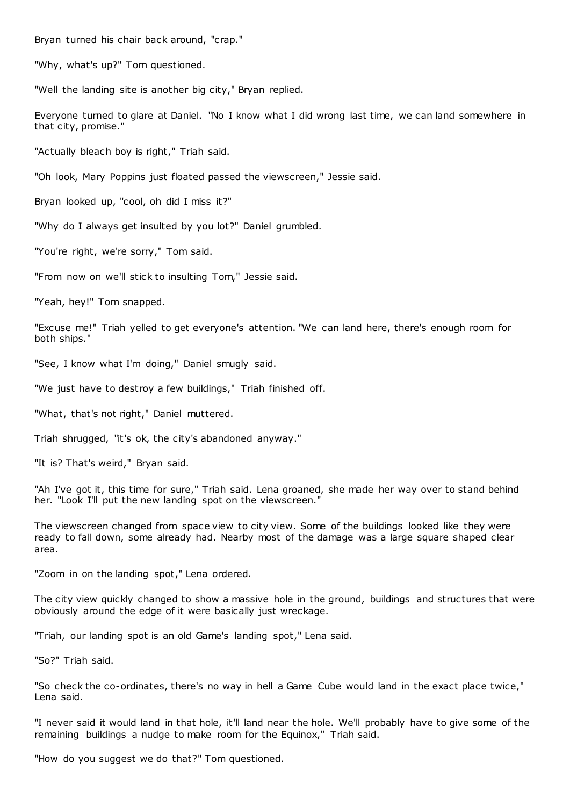Bryan turned his chair back around, "crap."

"Why, what's up?" Tom questioned.

"Well the landing site is another big city," Bryan replied.

Everyone turned to glare at Daniel. "No I know what I did wrong last time, we can land somewhere in that city, promise."

"Actually bleach boy is right," Triah said.

"Oh look, Mary Poppins just floated passed the viewscreen," Jessie said.

Bryan looked up, "cool, oh did I miss it?"

"Why do I always get insulted by you lot?" Daniel grumbled.

"You're right, we're sorry," Tom said.

"From now on we'll stick to insulting Tom," Jessie said.

"Yeah, hey!" Tom snapped.

"Excuse me!" Triah yelled to get everyone's attention. "We can land here, there's enough room for both ships."

"See, I know what I'm doing," Daniel smugly said.

"We just have to destroy a few buildings," Triah finished off.

"What, that's not right," Daniel muttered.

Triah shrugged, "it's ok, the city's abandoned anyway."

"It is? That's weird," Bryan said.

"Ah I've got it, this time for sure," Triah said. Lena groaned, she made her way over to stand behind her. "Look I'll put the new landing spot on the viewscreen."

The viewscreen changed from space view to city view. Some of the buildings looked like they were ready to fall down, some already had. Nearby most of the damage was a large square shaped clear area.

"Zoom in on the landing spot," Lena ordered.

The city view quickly changed to show a massive hole in the ground, buildings and structures that were obviously around the edge of it were basically just wreckage.

"Triah, our landing spot is an old Game's landing spot," Lena said.

"So?" Triah said.

"So check the co-ordinates, there's no way in hell a Game Cube would land in the exact place twice," Lena said.

"I never said it would land in that hole, it'll land near the hole. We'll probably have to give some of the remaining buildings a nudge to make room for the Equinox," Triah said.

"How do you suggest we do that?" Tom questioned.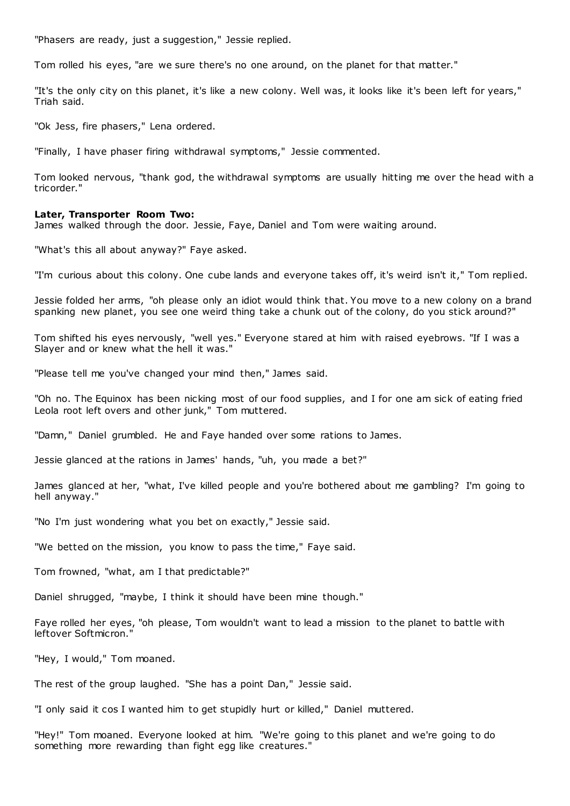"Phasers are ready, just a suggestion," Jessie replied.

Tom rolled his eyes, "are we sure there's no one around, on the planet for that matter."

"It's the only city on this planet, it's like a new colony. Well was, it looks like it's been left for years," Triah said.

"Ok Jess, fire phasers," Lena ordered.

"Finally, I have phaser firing withdrawal symptoms," Jessie commented.

Tom looked nervous, "thank god, the withdrawal symptoms are usually hitting me over the head with a tricorder."

#### **Later, Transporter Room Two:**

James walked through the door. Jessie, Faye, Daniel and Tom were waiting around.

"What's this all about anyway?" Faye asked.

"I'm curious about this colony. One cube lands and everyone takes off, it's weird isn't it," Tom replied.

Jessie folded her arms, "oh please only an idiot would think that. You move to a new colony on a brand spanking new planet, you see one weird thing take a chunk out of the colony, do you stick around?"

Tom shifted his eyes nervously, "well yes." Everyone stared at him with raised eyebrows. "If I was a Slayer and or knew what the hell it was."

"Please tell me you've changed your mind then," James said.

"Oh no. The Equinox has been nicking most of our food supplies, and I for one am sick of eating fried Leola root left overs and other junk," Tom muttered.

"Damn," Daniel grumbled. He and Faye handed over some rations to James.

Jessie glanced at the rations in James' hands, "uh, you made a bet?"

James glanced at her, "what, I've killed people and you're bothered about me gambling? I'm going to hell anyway."

"No I'm just wondering what you bet on exactly," Jessie said.

"We betted on the mission, you know to pass the time," Faye said.

Tom frowned, "what, am I that predictable?"

Daniel shrugged, "maybe, I think it should have been mine though."

Faye rolled her eyes, "oh please, Tom wouldn't want to lead a mission to the planet to battle with leftover Softmicron."

"Hey, I would," Tom moaned.

The rest of the group laughed. "She has a point Dan," Jessie said.

"I only said it cos I wanted him to get stupidly hurt or killed," Daniel muttered.

"Hey!" Tom moaned. Everyone looked at him. "We're going to this planet and we're going to do something more rewarding than fight egg like creatures."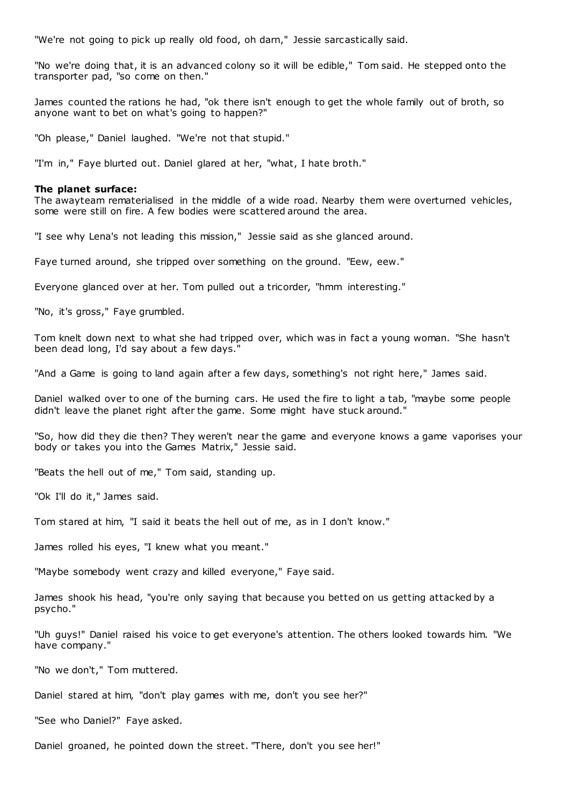"We're not going to pick up really old food, oh darn," Jessie sarcastically said.

"No we're doing that, it is an advanced colony so it will be edible," Tom said. He stepped onto the transporter pad, "so come on then."

James counted the rations he had, "ok there isn't enough to get the whole family out of broth, so anyone want to bet on what's going to happen?"

"Oh please," Daniel laughed. "We're not that stupid."

"I'm in," Faye blurted out. Daniel glared at her, "what, I hate broth."

### **The planet surface:**

The awayteam rematerialised in the middle of a wide road. Nearby them were overturned vehicles, some were still on fire. A few bodies were scattered around the area.

"I see why Lena's not leading this mission," Jessie said as she glanced around.

Faye turned around, she tripped over something on the ground. "Eew, eew."

Everyone glanced over at her. Tom pulled out a tricorder, "hmm interesting."

"No, it's gross," Faye grumbled.

Tom knelt down next to what she had tripped over, which was in fact a young woman. "She hasn't been dead long, I'd say about a few days."

"And a Game is going to land again after a few days, something's not right here," James said.

Daniel walked over to one of the burning cars. He used the fire to light a tab, "maybe some people didn't leave the planet right after the game. Some might have stuck around."

"So, how did they die then? They weren't near the game and everyone knows a game vaporises your body or takes you into the Games Matrix," Jessie said.

"Beats the hell out of me," Tom said, standing up.

"Ok I'll do it," James said.

Tom stared at him, "I said it beats the hell out of me, as in I don't know."

James rolled his eyes, "I knew what you meant."

"Maybe somebody went crazy and killed everyone," Faye said.

James shook his head, "you're only saying that because you betted on us getting attacked by a psycho."

"Uh guys!" Daniel raised his voice to get everyone's attention. The others looked towards him. "We have company."

"No we don't," Tom muttered.

Daniel stared at him, "don't play games with me, don't you see her?"

"See who Daniel?" Faye asked.

Daniel groaned, he pointed down the street. "There, don't you see her!"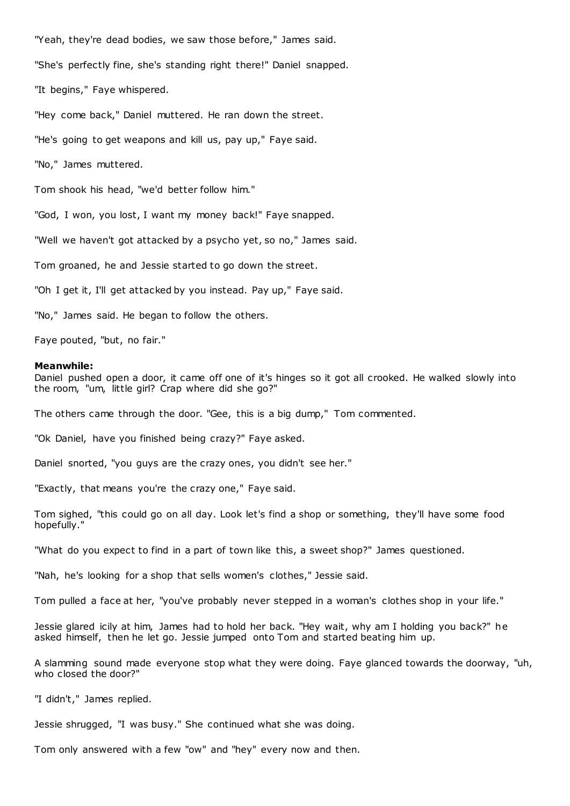"Yeah, they're dead bodies, we saw those before," James said.

"She's perfectly fine, she's standing right there!" Daniel snapped.

"It begins," Faye whispered.

"Hey come back," Daniel muttered. He ran down the street.

"He's going to get weapons and kill us, pay up," Faye said.

"No," James muttered.

Tom shook his head, "we'd better follow him."

"God, I won, you lost, I want my money back!" Faye snapped.

"Well we haven't got attacked by a psycho yet, so no," James said.

Tom groaned, he and Jessie started to go down the street.

"Oh I get it, I'll get attacked by you instead. Pay up," Faye said.

"No," James said. He began to follow the others.

Faye pouted, "but, no fair."

### **Meanwhile:**

Daniel pushed open a door, it came off one of it's hinges so it got all crooked. He walked slowly into the room, "um, little girl? Crap where did she go?"

The others came through the door. "Gee, this is a big dump," Tom commented.

"Ok Daniel, have you finished being crazy?" Faye asked.

Daniel snorted, "you guys are the crazy ones, you didn't see her."

"Exactly, that means you're the crazy one," Faye said.

Tom sighed, "this could go on all day. Look let's find a shop or something, they'll have some food hopefully."

"What do you expect to find in a part of town like this, a sweet shop?" James questioned.

"Nah, he's looking for a shop that sells women's clothes," Jessie said.

Tom pulled a face at her, "you've probably never stepped in a woman's clothes shop in your life."

Jessie glared icily at him, James had to hold her back. "Hey wait, why am I holding you back?" he asked himself, then he let go. Jessie jumped onto Tom and started beating him up.

A slamming sound made everyone stop what they were doing. Faye glanced towards the doorway, "uh, who closed the door?"

"I didn't," James replied.

Jessie shrugged, "I was busy." She continued what she was doing.

Tom only answered with a few "ow" and "hey" every now and then.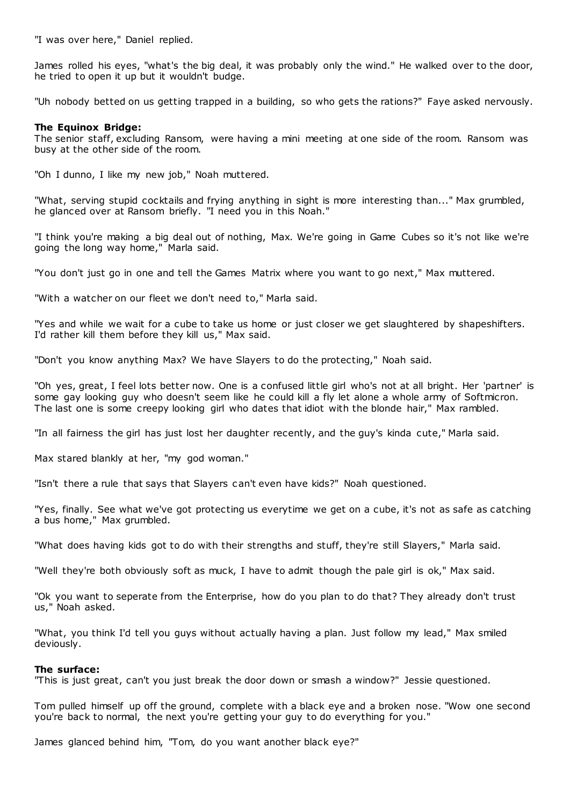"I was over here," Daniel replied.

James rolled his eyes, "what's the big deal, it was probably only the wind." He walked over to the door, he tried to open it up but it wouldn't budge.

"Uh nobody betted on us getting trapped in a building, so who gets the rations?" Faye asked nervously.

# **The Equinox Bridge:**

The senior staff, excluding Ransom, were having a mini meeting at one side of the room. Ransom was busy at the other side of the room.

"Oh I dunno, I like my new job," Noah muttered.

"What, serving stupid cocktails and frying anything in sight is more interesting than..." Max grumbled, he glanced over at Ransom briefly. "I need you in this Noah."

"I think you're making a big deal out of nothing, Max. We're going in Game Cubes so it's not like we're going the long way home," Marla said.

"You don't just go in one and tell the Games Matrix where you want to go next," Max muttered.

"With a watcher on our fleet we don't need to," Marla said.

"Yes and while we wait for a cube to take us home or just closer we get slaughtered by shapeshifters. I'd rather kill them before they kill us," Max said.

"Don't you know anything Max? We have Slayers to do the protecting," Noah said.

"Oh yes, great, I feel lots better now. One is a confused little girl who's not at all bright. Her 'partner' is some gay looking guy who doesn't seem like he could kill a fly let alone a whole army of Softmicron. The last one is some creepy looking girl who dates that idiot with the blonde hair," Max rambled.

"In all fairness the girl has just lost her daughter recently, and the guy's kinda cute," Marla said.

Max stared blankly at her, "my god woman."

"Isn't there a rule that says that Slayers can't even have kids?" Noah questioned.

"Yes, finally. See what we've got protecting us everytime we get on a cube, it's not as safe as catching a bus home," Max grumbled.

"What does having kids got to do with their strengths and stuff, they're still Slayers," Marla said.

"Well they're both obviously soft as muck, I have to admit though the pale girl is ok," Max said.

"Ok you want to seperate from the Enterprise, how do you plan to do that? They already don't trust us," Noah asked.

"What, you think I'd tell you guys without actually having a plan. Just follow my lead," Max smiled deviously.

# **The surface:**

"This is just great, can't you just break the door down or smash a window?" Jessie questioned.

Tom pulled himself up off the ground, complete with a black eye and a broken nose. "Wow one second you're back to normal, the next you're getting your guy to do everything for you."

James glanced behind him, "Tom, do you want another black eye?"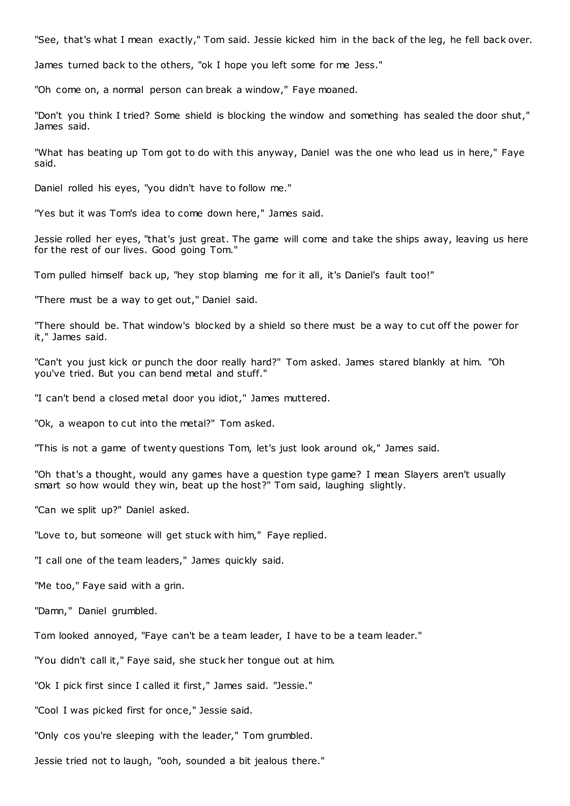"See, that's what I mean exactly," Tom said. Jessie kicked him in the back of the leg, he fell back over.

James turned back to the others, "ok I hope you left some for me Jess."

"Oh come on, a normal person can break a window," Faye moaned.

"Don't you think I tried? Some shield is blocking the window and something has sealed the door shut," James said.

"What has beating up Tom got to do with this anyway, Daniel was the one who lead us in here," Faye said.

Daniel rolled his eyes, "you didn't have to follow me."

"Yes but it was Tom's idea to come down here," James said.

Jessie rolled her eyes, "that's just great. The game will come and take the ships away, leaving us here for the rest of our lives. Good going Tom."

Tom pulled himself back up, "hey stop blaming me for it all, it's Daniel's fault too!"

"There must be a way to get out," Daniel said.

"There should be. That window's blocked by a shield so there must be a way to cut off the power for it," James said.

"Can't you just kick or punch the door really hard?" Tom asked. James stared blankly at him. "Oh you've tried. But you can bend metal and stuff."

"I can't bend a closed metal door you idiot," James muttered.

"Ok, a weapon to cut into the metal?" Tom asked.

"This is not a game of twenty questions Tom, let's just look around ok," James said.

"Oh that's a thought, would any games have a question type game? I mean Slayers aren't usually smart so how would they win, beat up the host?" Tom said, laughing slightly.

"Can we split up?" Daniel asked.

"Love to, but someone will get stuck with him," Faye replied.

"I call one of the team leaders," James quickly said.

"Me too," Faye said with a grin.

"Damn," Daniel grumbled.

Tom looked annoyed, "Faye can't be a team leader, I have to be a team leader."

"You didn't call it," Faye said, she stuck her tongue out at him.

"Ok I pick first since I called it first," James said. "Jessie."

"Cool I was picked first for once," Jessie said.

"Only cos you're sleeping with the leader," Tom grumbled.

Jessie tried not to laugh, "ooh, sounded a bit jealous there."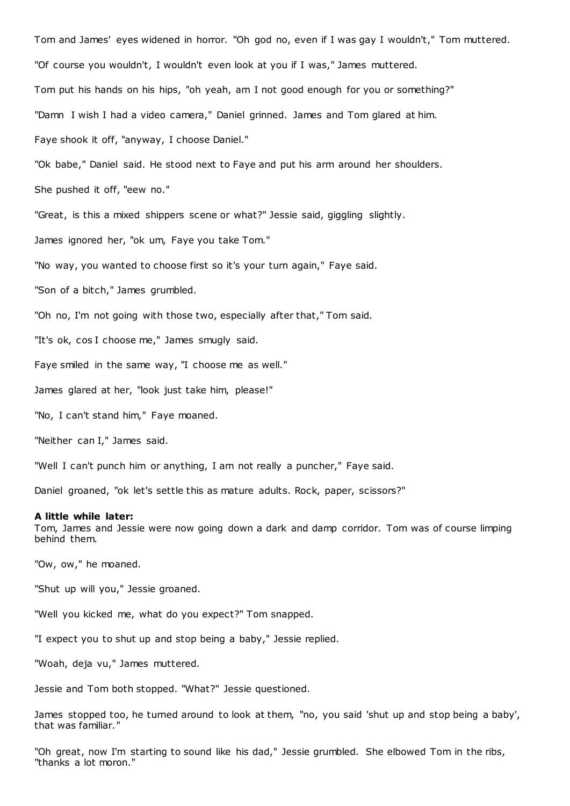Tom and James' eyes widened in horror. "Oh god no, even if I was gay I wouldn't," Tom muttered. "Of course you wouldn't, I wouldn't even look at you if I was," James muttered. Tom put his hands on his hips, "oh yeah, am I not good enough for you or something?" "Damn I wish I had a video camera," Daniel grinned. James and Tom glared at him. Faye shook it off, "anyway, I choose Daniel." "Ok babe," Daniel said. He stood next to Faye and put his arm around her shoulders. She pushed it off, "eew no." "Great, is this a mixed shippers scene or what?" Jessie said, giggling slightly. James ignored her, "ok um, Faye you take Tom." "No way, you wanted to choose first so it's your turn again," Faye said. "Son of a bitch," James grumbled. "Oh no, I'm not going with those two, especially after that," Tom said. "It's ok, cos I choose me," James smugly said. Faye smiled in the same way, "I choose me as well." James glared at her, "look just take him, please!" "No, I can't stand him," Faye moaned. "Neither can I," James said. "Well I can't punch him or anything, I am not really a puncher," Faye said.

Daniel groaned, "ok let's settle this as mature adults. Rock, paper, scissors?"

# **A little while later:**

Tom, James and Jessie were now going down a dark and damp corridor. Tom was of course limping behind them.

"Ow, ow," he moaned.

"Shut up will you," Jessie groaned.

"Well you kicked me, what do you expect?" Tom snapped.

"I expect you to shut up and stop being a baby," Jessie replied.

"Woah, deja vu," James muttered.

Jessie and Tom both stopped. "What?" Jessie questioned.

James stopped too, he turned around to look at them, "no, you said 'shut up and stop being a baby', that was familiar."

"Oh great, now I'm starting to sound like his dad," Jessie grumbled. She elbowed Tom in the ribs, "thanks a lot moron."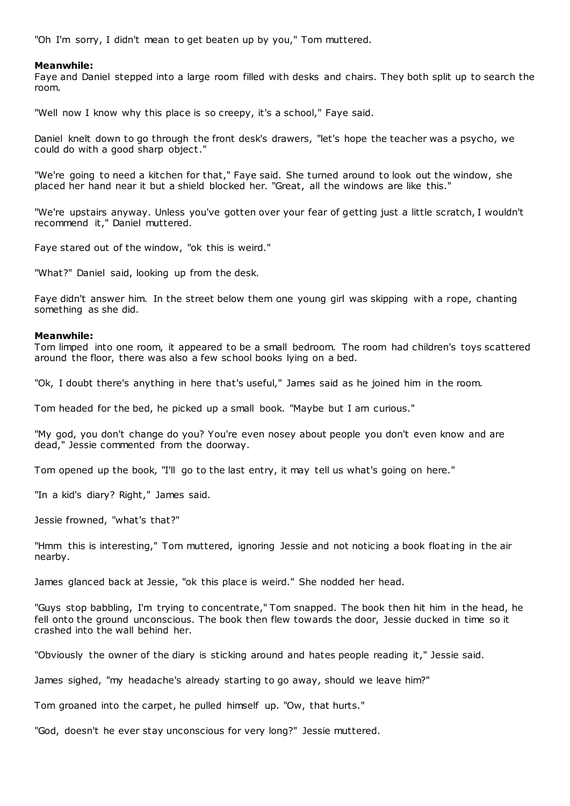"Oh I'm sorry, I didn't mean to get beaten up by you," Tom muttered.

# **Meanwhile:**

Faye and Daniel stepped into a large room filled with desks and chairs. They both split up to search the room.

"Well now I know why this place is so creepy, it's a school," Faye said.

Daniel knelt down to go through the front desk's drawers, "let's hope the teacher was a psycho, we could do with a good sharp object."

"We're going to need a kitchen for that," Faye said. She turned around to look out the window, she placed her hand near it but a shield blocked her. "Great, all the windows are like this."

"We're upstairs anyway. Unless you've gotten over your fear of getting just a little scratch, I wouldn't recommend it," Daniel muttered.

Faye stared out of the window, "ok this is weird."

"What?" Daniel said, looking up from the desk.

Faye didn't answer him. In the street below them one young girl was skipping with a rope, chanting something as she did.

### **Meanwhile:**

Tom limped into one room, it appeared to be a small bedroom. The room had children's toys scattered around the floor, there was also a few school books lying on a bed.

"Ok, I doubt there's anything in here that's useful," James said as he joined him in the room.

Tom headed for the bed, he picked up a small book. "Maybe but I am curious."

"My god, you don't change do you? You're even nosey about people you don't even know and are dead," Jessie commented from the doorway.

Tom opened up the book, "I'll go to the last entry, it may tell us what's going on here."

"In a kid's diary? Right," James said.

Jessie frowned, "what's that?"

"Hmm this is interesting," Tom muttered, ignoring Jessie and not noticing a book floating in the air nearby.

James glanced back at Jessie, "ok this place is weird." She nodded her head.

"Guys stop babbling, I'm trying to concentrate," Tom snapped. The book then hit him in the head, he fell onto the ground unconscious. The book then flew towards the door, Jessie ducked in time so it crashed into the wall behind her.

"Obviously the owner of the diary is sticking around and hates people reading it," Jessie said.

James sighed, "my headache's already starting to go away, should we leave him?"

Tom groaned into the carpet, he pulled himself up. "Ow, that hurts."

"God, doesn't he ever stay unconscious for very long?" Jessie muttered.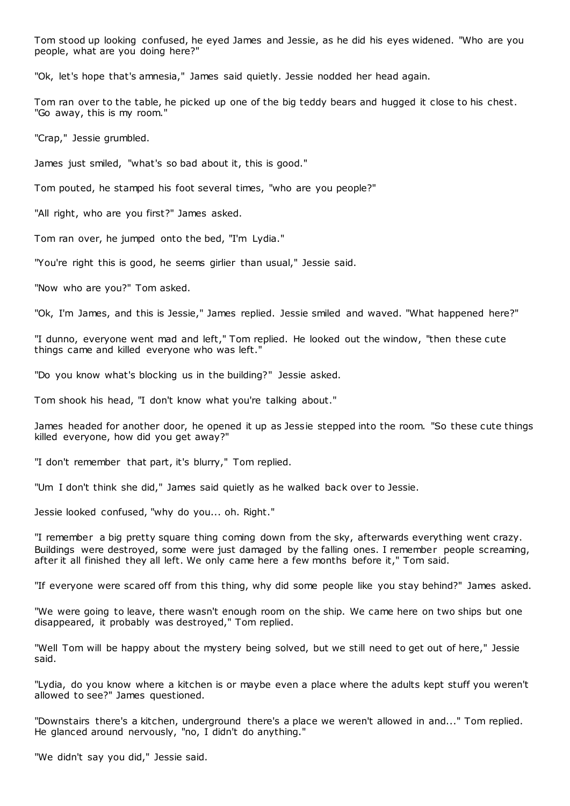Tom stood up looking confused, he eyed James and Jessie, as he did his eyes widened. "Who are you people, what are you doing here?"

"Ok, let's hope that's amnesia," James said quietly. Jessie nodded her head again.

Tom ran over to the table, he picked up one of the big teddy bears and hugged it close to his chest. "Go away, this is my room."

"Crap," Jessie grumbled.

James just smiled, "what's so bad about it, this is good."

Tom pouted, he stamped his foot several times, "who are you people?"

"All right, who are you first?" James asked.

Tom ran over, he jumped onto the bed, "I'm Lydia."

"You're right this is good, he seems girlier than usual," Jessie said.

"Now who are you?" Tom asked.

"Ok, I'm James, and this is Jessie," James replied. Jessie smiled and waved. "What happened here?"

"I dunno, everyone went mad and left," Tom replied. He looked out the window, "then these cute things came and killed everyone who was left."

"Do you know what's blocking us in the building?" Jessie asked.

Tom shook his head, "I don't know what you're talking about."

James headed for another door, he opened it up as Jessie stepped into the room. "So these cute things killed everyone, how did you get away?"

"I don't remember that part, it's blurry," Tom replied.

"Um I don't think she did," James said quietly as he walked back over to Jessie.

Jessie looked confused, "why do you... oh. Right."

"I remember a big pretty square thing coming down from the sky, afterwards everything went crazy. Buildings were destroyed, some were just damaged by the falling ones. I remember people screaming, after it all finished they all left. We only came here a few months before it," Tom said.

"If everyone were scared off from this thing, why did some people like you stay behind?" James asked.

"We were going to leave, there wasn't enough room on the ship. We came here on two ships but one disappeared, it probably was destroyed," Tom replied.

"Well Tom will be happy about the mystery being solved, but we still need to get out of here," Jessie said.

"Lydia, do you know where a kitchen is or maybe even a place where the adults kept stuff you weren't allowed to see?" James questioned.

"Downstairs there's a kitchen, underground there's a place we weren't allowed in and..." Tom replied. He glanced around nervously, "no, I didn't do anything."

"We didn't say you did," Jessie said.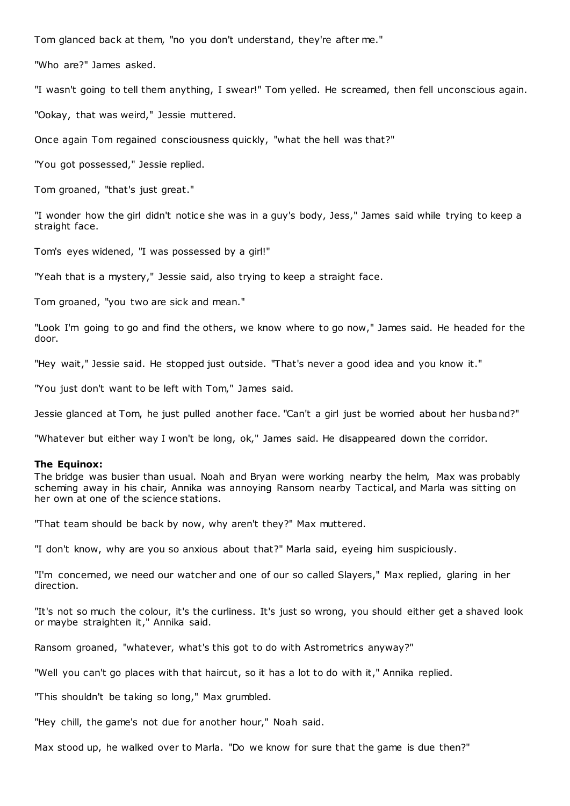Tom glanced back at them, "no you don't understand, they're after me."

"Who are?" James asked.

"I wasn't going to tell them anything, I swear!" Tom yelled. He screamed, then fell unconscious again.

"Ookay, that was weird," Jessie muttered.

Once again Tom regained consciousness quickly, "what the hell was that?"

"You got possessed," Jessie replied.

Tom groaned, "that's just great."

"I wonder how the girl didn't notice she was in a guy's body, Jess," James said while trying to keep a straight face.

Tom's eyes widened, "I was possessed by a girl!"

"Yeah that is a mystery," Jessie said, also trying to keep a straight face.

Tom groaned, "you two are sick and mean."

"Look I'm going to go and find the others, we know where to go now," James said. He headed for the door.

"Hey wait," Jessie said. He stopped just outside. "That's never a good idea and you know it."

"You just don't want to be left with Tom," James said.

Jessie glanced at Tom, he just pulled another face. "Can't a girl just be worried about her husband?"

"Whatever but either way I won't be long, ok," James said. He disappeared down the corridor.

# **The Equinox:**

The bridge was busier than usual. Noah and Bryan were working nearby the helm, Max was probably scheming away in his chair, Annika was annoying Ransom nearby Tactical, and Marla was sitting on her own at one of the science stations.

"That team should be back by now, why aren't they?" Max muttered.

"I don't know, why are you so anxious about that?" Marla said, eyeing him suspiciously.

"I'm concerned, we need our watcher and one of our so called Slayers," Max replied, glaring in her direction.

"It's not so much the colour, it's the curliness. It's just so wrong, you should either get a shaved look or maybe straighten it," Annika said.

Ransom groaned, "whatever, what's this got to do with Astrometrics anyway?"

"Well you can't go places with that haircut, so it has a lot to do with it," Annika replied.

"This shouldn't be taking so long," Max grumbled.

"Hey chill, the game's not due for another hour," Noah said.

Max stood up, he walked over to Marla. "Do we know for sure that the game is due then?"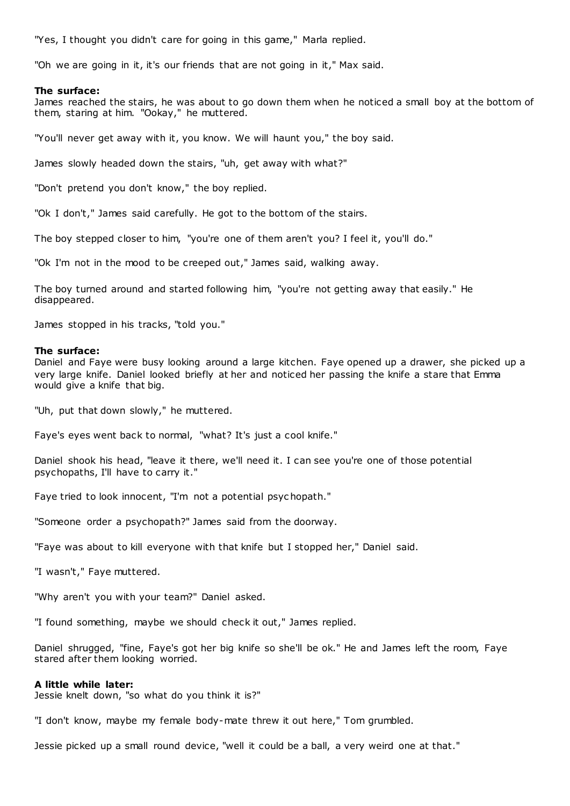"Yes, I thought you didn't care for going in this game," Marla replied.

"Oh we are going in it, it's our friends that are not going in it," Max said.

# **The surface:**

James reached the stairs, he was about to go down them when he noticed a small boy at the bottom of them, staring at him. "Ookay," he muttered.

"You'll never get away with it, you know. We will haunt you," the boy said.

James slowly headed down the stairs, "uh, get away with what?"

"Don't pretend you don't know," the boy replied.

"Ok I don't," James said carefully. He got to the bottom of the stairs.

The boy stepped closer to him, "you're one of them aren't you? I feel it, you'll do."

"Ok I'm not in the mood to be creeped out," James said, walking away.

The boy turned around and started following him, "you're not getting away that easily." He disappeared.

James stopped in his tracks, "told you."

# **The surface:**

Daniel and Faye were busy looking around a large kitchen. Faye opened up a drawer, she picked up a very large knife. Daniel looked briefly at her and noticed her passing the knife a stare that Emma would give a knife that big.

"Uh, put that down slowly," he muttered.

Faye's eyes went back to normal, "what? It's just a cool knife."

Daniel shook his head, "leave it there, we'll need it. I can see you're one of those potential psychopaths, I'll have to carry it."

Faye tried to look innocent, "I'm not a potential psyc hopath."

"Someone order a psychopath?" James said from the doorway.

"Faye was about to kill everyone with that knife but I stopped her," Daniel said.

"I wasn't," Faye muttered.

"Why aren't you with your team?" Daniel asked.

"I found something, maybe we should check it out," James replied.

Daniel shrugged, "fine, Faye's got her big knife so she'll be ok." He and James left the room, Faye stared after them looking worried.

# **A little while later:**

Jessie knelt down, "so what do you think it is?"

"I don't know, maybe my female body-mate threw it out here," Tom grumbled.

Jessie picked up a small round device, "well it could be a ball, a very weird one at that."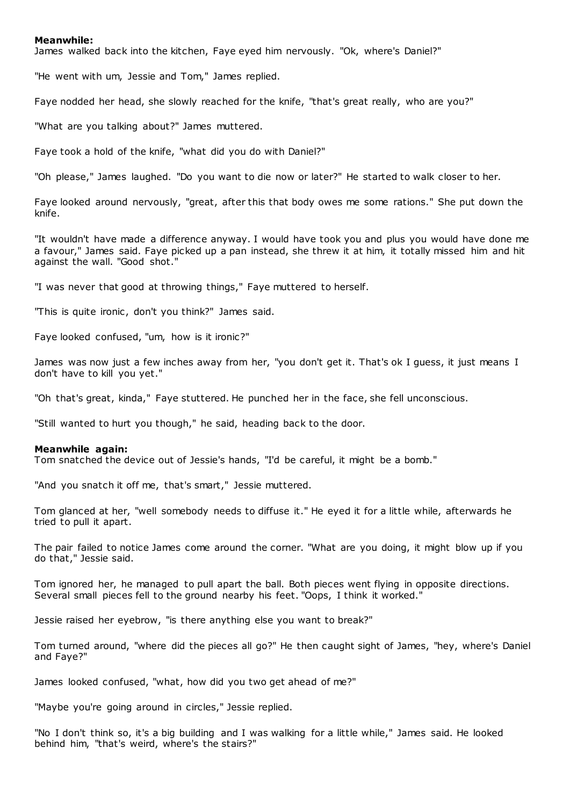# **Meanwhile:**

James walked back into the kitchen, Faye eyed him nervously. "Ok, where's Daniel?"

"He went with um, Jessie and Tom," James replied.

Faye nodded her head, she slowly reached for the knife, "that's great really, who are you?"

"What are you talking about?" James muttered.

Faye took a hold of the knife, "what did you do with Daniel?"

"Oh please," James laughed. "Do you want to die now or later?" He started to walk closer to her.

Faye looked around nervously, "great, after this that body owes me some rations." She put down the knife.

"It wouldn't have made a difference anyway. I would have took you and plus you would have done me a favour," James said. Faye picked up a pan instead, she threw it at him, it totally missed him and hit against the wall. "Good shot."

"I was never that good at throwing things," Faye muttered to herself.

"This is quite ironic, don't you think?" James said.

Faye looked confused, "um, how is it ironic?"

James was now just a few inches away from her, "you don't get it. That's ok I guess, it just means I don't have to kill you yet."

"Oh that's great, kinda," Faye stuttered. He punched her in the face, she fell unconscious.

"Still wanted to hurt you though," he said, heading back to the door.

#### **Meanwhile again:**

Tom snatched the device out of Jessie's hands, "I'd be careful, it might be a bomb."

"And you snatch it off me, that's smart," Jessie muttered.

Tom glanced at her, "well somebody needs to diffuse it." He eyed it for a little while, afterwards he tried to pull it apart.

The pair failed to notice James come around the corner. "What are you doing, it might blow up if you do that," Jessie said.

Tom ignored her, he managed to pull apart the ball. Both pieces went flying in opposite directions. Several small pieces fell to the ground nearby his feet. "Oops, I think it worked."

Jessie raised her eyebrow, "is there anything else you want to break?"

Tom turned around, "where did the pieces all go?" He then caught sight of James, "hey, where's Daniel and Faye?"

James looked confused, "what, how did you two get ahead of me?"

"Maybe you're going around in circles," Jessie replied.

"No I don't think so, it's a big building and I was walking for a little while," James said. He looked behind him, "that's weird, where's the stairs?"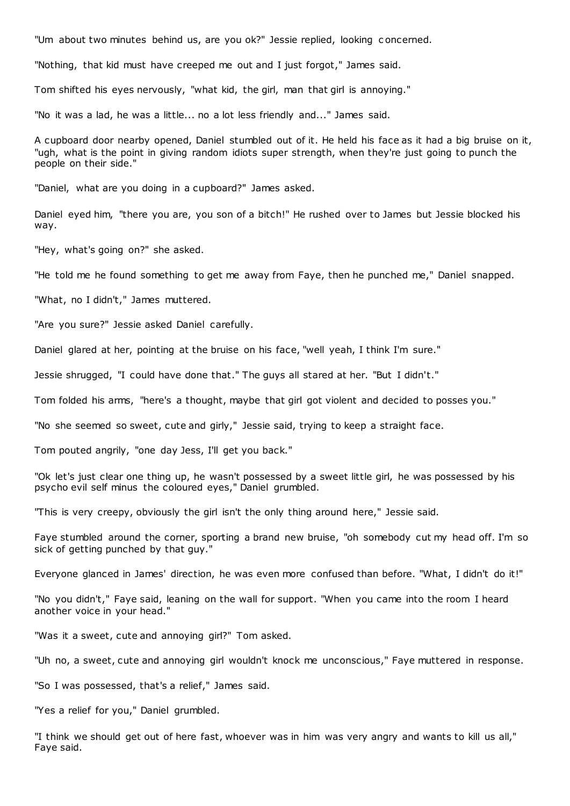"Um about two minutes behind us, are you ok?" Jessie replied, looking c oncerned.

"Nothing, that kid must have creeped me out and I just forgot," James said.

Tom shifted his eyes nervously, "what kid, the girl, man that girl is annoying."

"No it was a lad, he was a little... no a lot less friendly and..." James said.

A cupboard door nearby opened, Daniel stumbled out of it. He held his face as it had a big bruise on it, "ugh, what is the point in giving random idiots super strength, when they're just going to punch the people on their side."

"Daniel, what are you doing in a cupboard?" James asked.

Daniel eyed him, "there you are, you son of a bitch!" He rushed over to James but Jessie blocked his way.

"Hey, what's going on?" she asked.

"He told me he found something to get me away from Faye, then he punched me," Daniel snapped.

"What, no I didn't," James muttered.

"Are you sure?" Jessie asked Daniel carefully.

Daniel glared at her, pointing at the bruise on his face, "well yeah, I think I'm sure."

Jessie shrugged, "I could have done that." The guys all stared at her. "But I didn't."

Tom folded his arms, "here's a thought, maybe that girl got violent and decided to posses you."

"No she seemed so sweet, cute and girly," Jessie said, trying to keep a straight face.

Tom pouted angrily, "one day Jess, I'll get you back."

"Ok let's just clear one thing up, he wasn't possessed by a sweet little girl, he was possessed by his psycho evil self minus the coloured eyes," Daniel grumbled.

"This is very creepy, obviously the girl isn't the only thing around here," Jessie said.

Faye stumbled around the corner, sporting a brand new bruise, "oh somebody cut my head off. I'm so sick of getting punched by that guy."

Everyone glanced in James' direction, he was even more confused than before. "What, I didn't do it!"

"No you didn't," Faye said, leaning on the wall for support. "When you came into the room I heard another voice in your head."

"Was it a sweet, cute and annoying girl?" Tom asked.

"Uh no, a sweet, cute and annoying girl wouldn't knock me unconscious," Faye muttered in response.

"So I was possessed, that's a relief," James said.

"Yes a relief for you," Daniel grumbled.

"I think we should get out of here fast, whoever was in him was very angry and wants to kill us all," Faye said.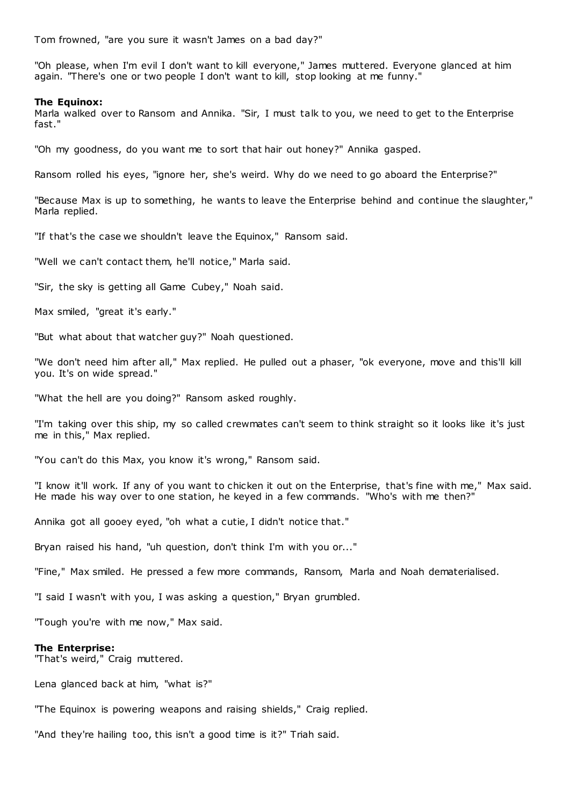Tom frowned, "are you sure it wasn't James on a bad day?"

"Oh please, when I'm evil I don't want to kill everyone," James muttered. Everyone glanced at him again. "There's one or two people I don't want to kill, stop looking at me funny."

# **The Equinox:**

Marla walked over to Ransom and Annika. "Sir, I must talk to you, we need to get to the Enterprise fast."

"Oh my goodness, do you want me to sort that hair out honey?" Annika gasped.

Ransom rolled his eyes, "ignore her, she's weird. Why do we need to go aboard the Enterprise?"

"Because Max is up to something, he wants to leave the Enterprise behind and continue the slaughter," Marla replied.

"If that's the case we shouldn't leave the Equinox," Ransom said.

"Well we can't contact them, he'll notice," Marla said.

"Sir, the sky is getting all Game Cubey," Noah said.

Max smiled, "great it's early."

"But what about that watcher guy?" Noah questioned.

"We don't need him after all," Max replied. He pulled out a phaser, "ok everyone, move and this'll kill you. It's on wide spread."

"What the hell are you doing?" Ransom asked roughly.

"I'm taking over this ship, my so called crewmates can't seem to think straight so it looks like it's just me in this," Max replied.

"You can't do this Max, you know it's wrong," Ransom said.

"I know it'll work. If any of you want to chicken it out on the Enterprise, that's fine with me," Max said. He made his way over to one station, he keyed in a few commands. "Who's with me then?"

Annika got all gooey eyed, "oh what a cutie, I didn't notice that."

Bryan raised his hand, "uh question, don't think I'm with you or..."

"Fine," Max smiled. He pressed a few more commands, Ransom, Marla and Noah dematerialised.

"I said I wasn't with you, I was asking a question," Bryan grumbled.

"Tough you're with me now," Max said.

### **The Enterprise:**

"That's weird," Craig muttered.

Lena glanced back at him, "what is?"

"The Equinox is powering weapons and raising shields," Craig replied.

"And they're hailing too, this isn't a good time is it?" Triah said.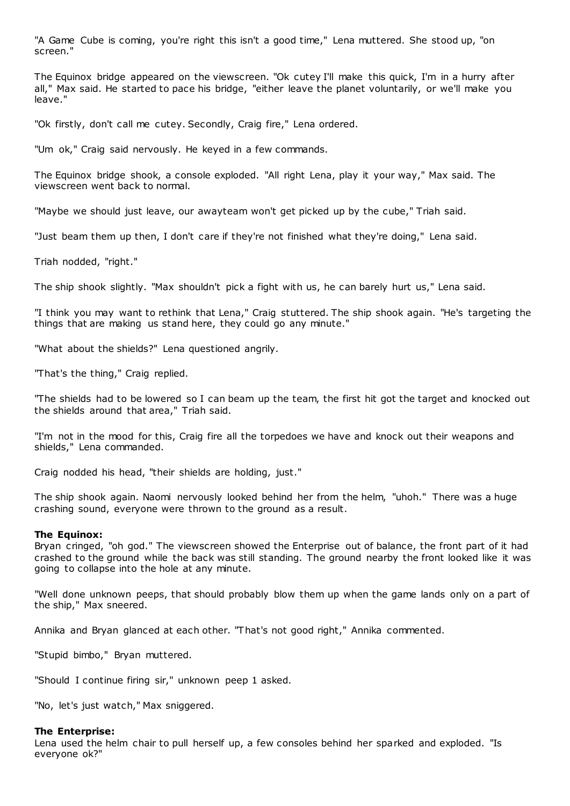"A Game Cube is coming, you're right this isn't a good time," Lena muttered. She stood up, "on screen."

The Equinox bridge appeared on the viewscreen. "Ok cutey I'll make this quick, I'm in a hurry after all," Max said. He started to pace his bridge, "either leave the planet voluntarily, or we'll make you leave."

"Ok firstly, don't call me cutey. Secondly, Craig fire," Lena ordered.

"Um ok," Craig said nervously. He keyed in a few commands.

The Equinox bridge shook, a console exploded. "All right Lena, play it your way," Max said. The viewscreen went back to normal.

"Maybe we should just leave, our awayteam won't get picked up by the cube," Triah said.

"Just beam them up then, I don't care if they're not finished what they're doing," Lena said.

Triah nodded, "right."

The ship shook slightly. "Max shouldn't pick a fight with us, he can barely hurt us," Lena said.

"I think you may want to rethink that Lena," Craig stuttered. The ship shook again. "He's targeting the things that are making us stand here, they could go any minute."

"What about the shields?" Lena questioned angrily.

"That's the thing," Craig replied.

"The shields had to be lowered so I can beam up the team, the first hit got the target and knocked out the shields around that area," Triah said.

"I'm not in the mood for this, Craig fire all the torpedoes we have and knock out their weapons and shields," Lena commanded.

Craig nodded his head, "their shields are holding, just."

The ship shook again. Naomi nervously looked behind her from the helm, "uhoh." There was a huge crashing sound, everyone were thrown to the ground as a result.

### **The Equinox:**

Bryan cringed, "oh god." The viewscreen showed the Enterprise out of balance, the front part of it had crashed to the ground while the back was still standing. The ground nearby the front looked like it was going to collapse into the hole at any minute.

"Well done unknown peeps, that should probably blow them up when the game lands only on a part of the ship," Max sneered.

Annika and Bryan glanced at each other. "That's not good right," Annika commented.

"Stupid bimbo," Bryan muttered.

"Should I continue firing sir," unknown peep 1 asked.

"No, let's just watch," Max sniggered.

### **The Enterprise:**

Lena used the helm chair to pull herself up, a few consoles behind her sparked and exploded. "Is everyone ok?"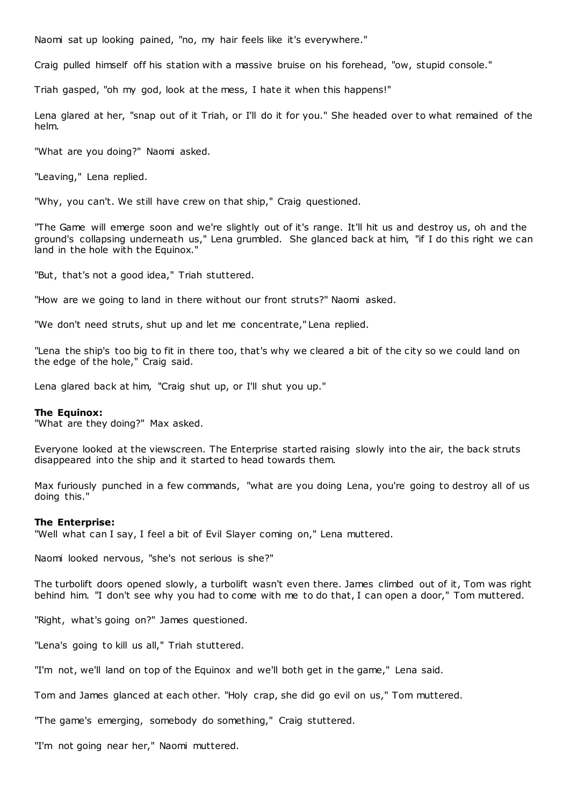Naomi sat up looking pained, "no, my hair feels like it's everywhere."

Craig pulled himself off his station with a massive bruise on his forehead, "ow, stupid console."

Triah gasped, "oh my god, look at the mess, I hate it when this happens!"

Lena glared at her, "snap out of it Triah, or I'll do it for you." She headed over to what remained of the helm.

"What are you doing?" Naomi asked.

"Leaving," Lena replied.

"Why, you can't. We still have crew on that ship," Craig questioned.

"The Game will emerge soon and we're slightly out of it's range. It'll hit us and destroy us, oh and the ground's collapsing underneath us," Lena grumbled. She glanced back at him, "if I do this right we can land in the hole with the Equinox."

"But, that's not a good idea," Triah stuttered.

"How are we going to land in there without our front struts?" Naomi asked.

"We don't need struts, shut up and let me concentrate," Lena replied.

"Lena the ship's too big to fit in there too, that's why we cleared a bit of the city so we could land on the edge of the hole," Craig said.

Lena glared back at him, "Craig shut up, or I'll shut you up."

#### **The Equinox:**

"What are they doing?" Max asked.

Everyone looked at the viewscreen. The Enterprise started raising slowly into the air, the back struts disappeared into the ship and it started to head towards them.

Max furiously punched in a few commands, "what are you doing Lena, you're going to destroy all of us doing this."

#### **The Enterprise:**

"Well what can I say, I feel a bit of Evil Slayer coming on," Lena muttered.

Naomi looked nervous, "she's not serious is she?"

The turbolift doors opened slowly, a turbolift wasn't even there. James climbed out of it, Tom was right behind him. "I don't see why you had to come with me to do that, I can open a door," Tom muttered.

"Right, what's going on?" James questioned.

"Lena's going to kill us all," Triah stuttered.

"I'm not, we'll land on top of the Equinox and we'll both get in the game," Lena said.

Tom and James glanced at each other. "Holy crap, she did go evil on us," Tom muttered.

"The game's emerging, somebody do something," Craig stuttered.

"I'm not going near her," Naomi muttered.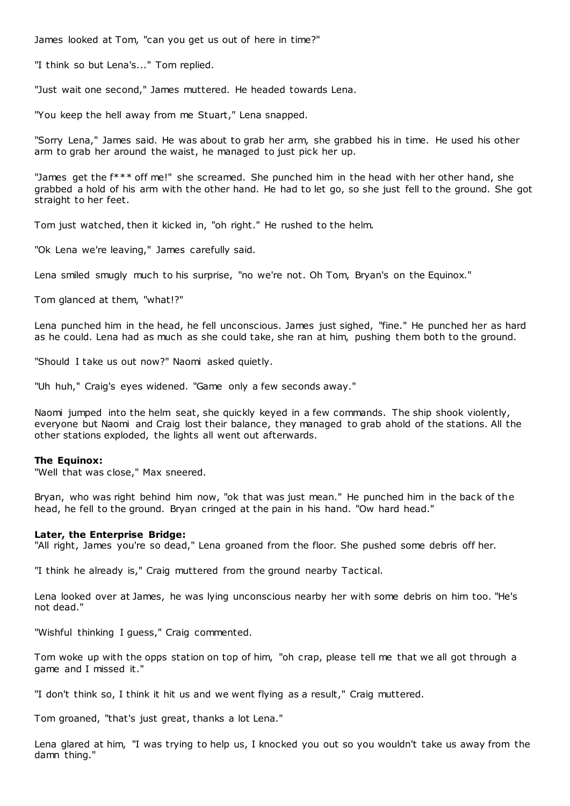James looked at Tom, "can you get us out of here in time?"

"I think so but Lena's..." Tom replied.

"Just wait one second," James muttered. He headed towards Lena.

"You keep the hell away from me Stuart," Lena snapped.

"Sorry Lena," James said. He was about to grab her arm, she grabbed his in time. He used his other arm to grab her around the waist, he managed to just pick her up.

"James get the f\*\*\* off me!" she screamed. She punched him in the head with her other hand, she grabbed a hold of his arm with the other hand. He had to let go, so she just fell to the ground. She got straight to her feet.

Tom just watched, then it kicked in, "oh right." He rushed to the helm.

"Ok Lena we're leaving," James carefully said.

Lena smiled smugly much to his surprise, "no we're not. Oh Tom, Bryan's on the Equinox."

Tom glanced at them, "what!?"

Lena punched him in the head, he fell unconscious. James just sighed, "fine." He punched her as hard as he could. Lena had as much as she could take, she ran at him, pushing them both to the ground.

"Should I take us out now?" Naomi asked quietly.

"Uh huh," Craig's eyes widened. "Game only a few seconds away."

Naomi jumped into the helm seat, she quickly keyed in a few commands. The ship shook violently, everyone but Naomi and Craig lost their balance, they managed to grab ahold of the stations. All the other stations exploded, the lights all went out afterwards.

#### **The Equinox:**

"Well that was close," Max sneered.

Bryan, who was right behind him now, "ok that was just mean." He punched him in the back of the head, he fell to the ground. Bryan cringed at the pain in his hand. "Ow hard head."

#### **Later, the Enterprise Bridge:**

"All right, James you're so dead," Lena groaned from the floor. She pushed some debris off her.

"I think he already is," Craig muttered from the ground nearby Tactical.

Lena looked over at James, he was lying unconscious nearby her with some debris on him too. "He's not dead."

"Wishful thinking I guess," Craig commented.

Tom woke up with the opps station on top of him, "oh crap, please tell me that we all got through a game and I missed it."

"I don't think so, I think it hit us and we went flying as a result," Craig muttered.

Tom groaned, "that's just great, thanks a lot Lena."

Lena glared at him, "I was trying to help us, I knocked you out so you wouldn't take us away from the damn thing."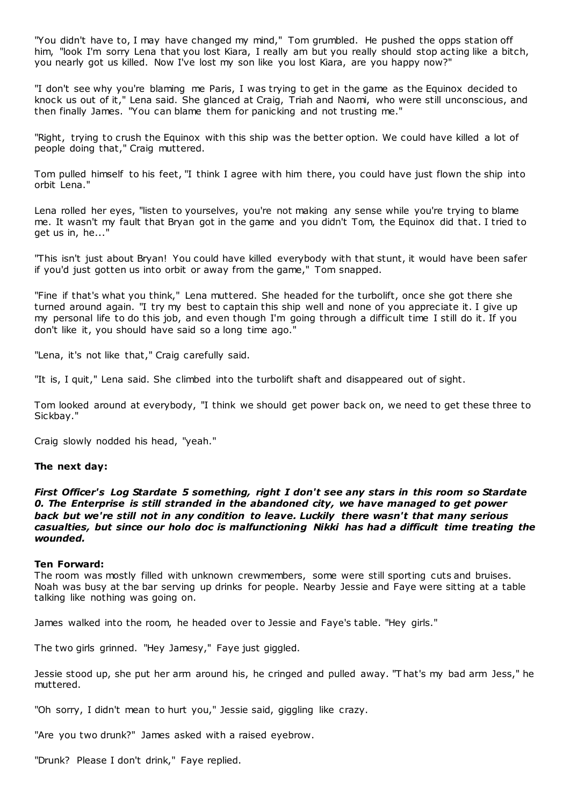"You didn't have to, I may have changed my mind," Tom grumbled. He pushed the opps station off him, "look I'm sorry Lena that you lost Kiara, I really am but you really should stop acting like a bitch, you nearly got us killed. Now I've lost my son like you lost Kiara, are you happy now?"

"I don't see why you're blaming me Paris, I was trying to get in the game as the Equinox decided to knock us out of it," Lena said. She glanced at Craig, Triah and Naomi, who were still unconscious, and then finally James. "You can blame them for panicking and not trusting me."

"Right, trying to crush the Equinox with this ship was the better option. We could have killed a lot of people doing that," Craig muttered.

Tom pulled himself to his feet, "I think I agree with him there, you could have just flown the ship into orbit Lena."

Lena rolled her eyes, "listen to yourselves, you're not making any sense while you're trying to blame me. It wasn't my fault that Bryan got in the game and you didn't Tom, the Equinox did that. I tried to get us in, he..."

"This isn't just about Bryan! You could have killed everybody with that stunt, it would have been safer if you'd just gotten us into orbit or away from the game," Tom snapped.

"Fine if that's what you think," Lena muttered. She headed for the turbolift, once she got there she turned around again. "I try my best to captain this ship well and none of you appreciate it. I give up my personal life to do this job, and even though I'm going through a difficult time I still do it. If you don't like it, you should have said so a long time ago."

"Lena, it's not like that," Craig carefully said.

"It is, I quit," Lena said. She climbed into the turbolift shaft and disappeared out of sight.

Tom looked around at everybody, "I think we should get power back on, we need to get these three to Sickbay."

Craig slowly nodded his head, "yeah."

### **The next day:**

*First Officer's Log Stardate 5 something, right I don't see any stars in this room so Stardate 0. The Enterprise is still stranded in the abandoned city, we have managed to get power back but we're still not in any condition to leave. Luckily there wasn't that many serious casualties, but since our holo doc is malfunctioning Nikki has had a difficult time treating the wounded.*

### **Ten Forward:**

The room was mostly filled with unknown crewmembers, some were still sporting cuts and bruises. Noah was busy at the bar serving up drinks for people. Nearby Jessie and Faye were sitting at a table talking like nothing was going on.

James walked into the room, he headed over to Jessie and Faye's table. "Hey girls."

The two girls grinned. "Hey Jamesy," Faye just giggled.

Jessie stood up, she put her arm around his, he cringed and pulled away. "T hat's my bad arm Jess," he muttered.

"Oh sorry, I didn't mean to hurt you," Jessie said, giggling like crazy.

"Are you two drunk?" James asked with a raised eyebrow.

"Drunk? Please I don't drink," Faye replied.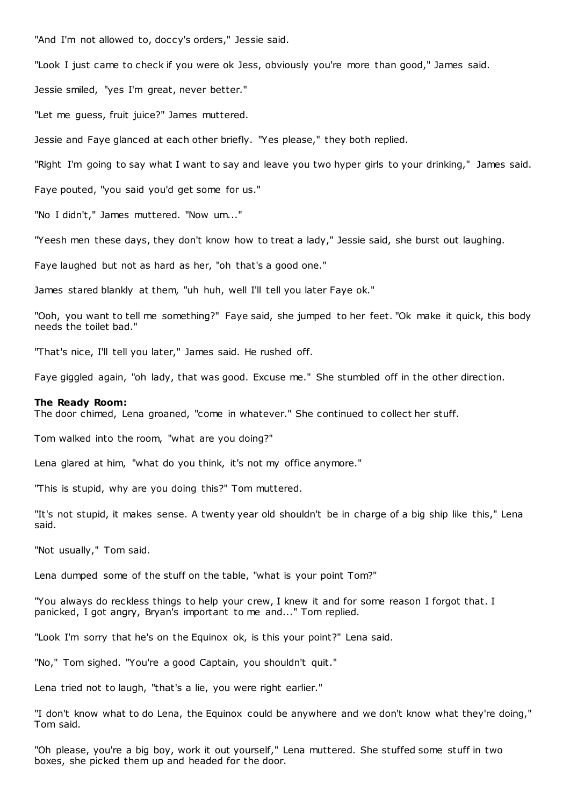"And I'm not allowed to, doccy's orders," Jessie said.

"Look I just came to check if you were ok Jess, obviously you're more than good," James said.

Jessie smiled, "yes I'm great, never better."

"Let me guess, fruit juice?" James muttered.

Jessie and Faye glanced at each other briefly. "Yes please," they both replied.

"Right I'm going to say what I want to say and leave you two hyper girls to your drinking," James said.

Faye pouted, "you said you'd get some for us."

"No I didn't," James muttered. "Now um..."

"Yeesh men these days, they don't know how to treat a lady," Jessie said, she burst out laughing.

Faye laughed but not as hard as her, "oh that's a good one."

James stared blankly at them, "uh huh, well I'll tell you later Faye ok."

"Ooh, you want to tell me something?" Faye said, she jumped to her feet. "Ok make it quick, this body needs the toilet bad."

"That's nice, I'll tell you later," James said. He rushed off.

Faye giggled again, "oh lady, that was good. Excuse me." She stumbled off in the other direction.

# **The Ready Room:**

The door chimed, Lena groaned, "come in whatever." She continued to collect her stuff.

Tom walked into the room, "what are you doing?"

Lena glared at him, "what do you think, it's not my office anymore."

"This is stupid, why are you doing this?" Tom muttered.

"It's not stupid, it makes sense. A twenty year old shouldn't be in charge of a big ship like this," Lena said.

"Not usually," Tom said.

Lena dumped some of the stuff on the table, "what is your point Tom?"

"You always do reckless things to help your crew, I knew it and for some reason I forgot that. I panicked, I got angry, Bryan's important to me and..." Tom replied.

"Look I'm sorry that he's on the Equinox ok, is this your point?" Lena said.

"No," Tom sighed. "You're a good Captain, you shouldn't quit."

Lena tried not to laugh, "that's a lie, you were right earlier."

"I don't know what to do Lena, the Equinox could be anywhere and we don't know what they're doing," Tom said.

"Oh please, you're a big boy, work it out yourself," Lena muttered. She stuffed some stuff in two boxes, she picked them up and headed for the door.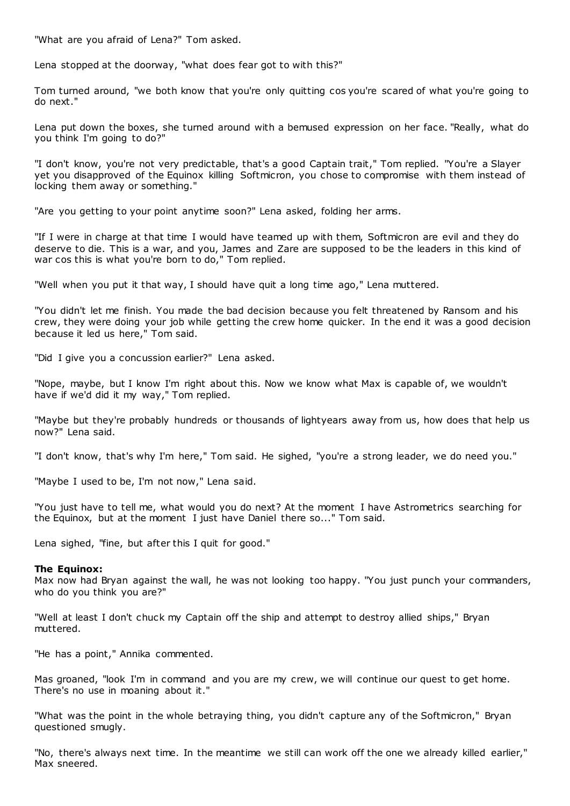"What are you afraid of Lena?" Tom asked.

Lena stopped at the doorway, "what does fear got to with this?"

Tom turned around, "we both know that you're only quitting cos you're scared of what you're going to do next."

Lena put down the boxes, she turned around with a bemused expression on her face. "Really, what do you think I'm going to do?"

"I don't know, you're not very predictable, that's a good Captain trait," Tom replied. "You're a Slayer yet you disapproved of the Equinox killing Softmicron, you chose to compromise with them instead of locking them away or something."

"Are you getting to your point anytime soon?" Lena asked, folding her arms.

"If I were in charge at that time I would have teamed up with them, Softmicron are evil and they do deserve to die. This is a war, and you, James and Zare are supposed to be the leaders in this kind of war cos this is what you're born to do," Tom replied.

"Well when you put it that way, I should have quit a long time ago," Lena muttered.

"You didn't let me finish. You made the bad decision because you felt threatened by Ransom and his crew, they were doing your job while getting the crew home quicker. In the end it was a good decision because it led us here," Tom said.

"Did I give you a concussion earlier?" Lena asked.

"Nope, maybe, but I know I'm right about this. Now we know what Max is capable of, we wouldn't have if we'd did it my way," Tom replied.

"Maybe but they're probably hundreds or thousands of lightyears away from us, how does that help us now?" Lena said.

"I don't know, that's why I'm here," Tom said. He sighed, "you're a strong leader, we do need you."

"Maybe I used to be, I'm not now," Lena said.

"You just have to tell me, what would you do next? At the moment I have Astrometrics searching for the Equinox, but at the moment I just have Daniel there so..." Tom said.

Lena sighed, "fine, but after this I quit for good."

# **The Equinox:**

Max now had Bryan against the wall, he was not looking too happy. "You just punch your commanders, who do you think you are?"

"Well at least I don't chuck my Captain off the ship and attempt to destroy allied ships," Bryan muttered.

"He has a point," Annika commented.

Mas groaned, "look I'm in command and you are my crew, we will continue our quest to get home. There's no use in moaning about it."

"What was the point in the whole betraying thing, you didn't capture any of the Softmicron," Bryan questioned smugly.

"No, there's always next time. In the meantime we still can work off the one we already killed earlier," Max sneered.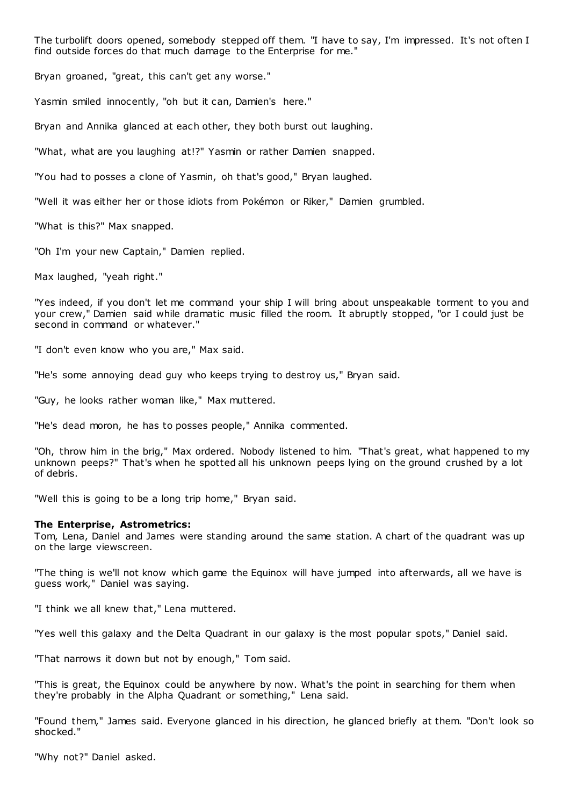The turbolift doors opened, somebody stepped off them. "I have to say, I'm impressed. It's not often I find outside forces do that much damage to the Enterprise for me."

Bryan groaned, "great, this can't get any worse."

Yasmin smiled innocently, "oh but it can, Damien's here."

Bryan and Annika glanced at each other, they both burst out laughing.

"What, what are you laughing at!?" Yasmin or rather Damien snapped.

"You had to posses a clone of Yasmin, oh that's good," Bryan laughed.

"Well it was either her or those idiots from Pokémon or Riker," Damien grumbled.

"What is this?" Max snapped.

"Oh I'm your new Captain," Damien replied.

Max laughed, "yeah right."

"Yes indeed, if you don't let me command your ship I will bring about unspeakable torment to you and your crew," Damien said while dramatic music filled the room. It abruptly stopped, "or I could just be second in command or whatever."

"I don't even know who you are," Max said.

"He's some annoying dead guy who keeps trying to destroy us," Bryan said.

"Guy, he looks rather woman like," Max muttered.

"He's dead moron, he has to posses people," Annika commented.

"Oh, throw him in the brig," Max ordered. Nobody listened to him. "That's great, what happened to my unknown peeps?" That's when he spotted all his unknown peeps lying on the ground crushed by a lot of debris.

"Well this is going to be a long trip home," Bryan said.

### **The Enterprise, Astrometrics:**

Tom, Lena, Daniel and James were standing around the same station. A chart of the quadrant was up on the large viewscreen.

"The thing is we'll not know which game the Equinox will have jumped into afterwards, all we have is guess work," Daniel was saying.

"I think we all knew that," Lena muttered.

"Yes well this galaxy and the Delta Quadrant in our galaxy is the most popular spots," Daniel said.

"That narrows it down but not by enough," Tom said.

"This is great, the Equinox could be anywhere by now. What's the point in searching for them when they're probably in the Alpha Quadrant or something," Lena said.

"Found them," James said. Everyone glanced in his direction, he glanced briefly at them. "Don't look so shocked."

"Why not?" Daniel asked.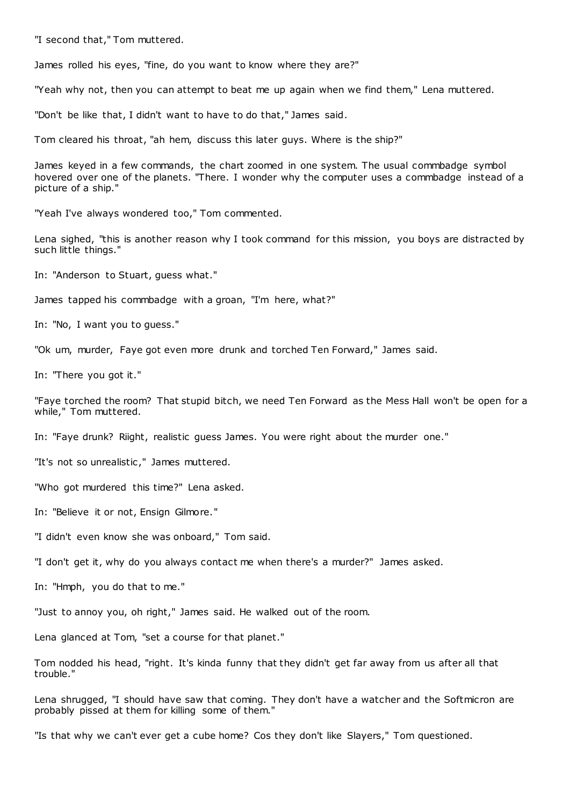"I second that," Tom muttered.

James rolled his eyes, "fine, do you want to know where they are?"

"Yeah why not, then you can attempt to beat me up again when we find them," Lena muttered.

"Don't be like that, I didn't want to have to do that," James said.

Tom cleared his throat, "ah hem, discuss this later guys. Where is the ship?"

James keyed in a few commands, the chart zoomed in one system. The usual commbadge symbol hovered over one of the planets. "There. I wonder why the computer uses a commbadge instead of a picture of a ship."

"Yeah I've always wondered too," Tom commented.

Lena sighed, "this is another reason why I took command for this mission, you boys are distracted by such little things."

In: "Anderson to Stuart, guess what."

James tapped his commbadge with a groan, "I'm here, what?"

In: "No, I want you to guess."

"Ok um, murder, Faye got even more drunk and torched Ten Forward," James said.

In: "There you got it."

"Faye torched the room? That stupid bitch, we need Ten Forward as the Mess Hall won't be open for a while," Tom muttered.

In: "Faye drunk? Riight, realistic guess James. You were right about the murder one."

"It's not so unrealistic ," James muttered.

"Who got murdered this time?" Lena asked.

In: "Believe it or not, Ensign Gilmore."

"I didn't even know she was onboard," Tom said.

"I don't get it, why do you always contact me when there's a murder?" James asked.

In: "Hmph, you do that to me."

"Just to annoy you, oh right," James said. He walked out of the room.

Lena glanced at Tom, "set a course for that planet."

Tom nodded his head, "right. It's kinda funny that they didn't get far away from us after all that trouble."

Lena shrugged, "I should have saw that coming. They don't have a watcher and the Softmicron are probably pissed at them for killing some of them."

"Is that why we can't ever get a cube home? Cos they don't like Slayers," Tom questioned.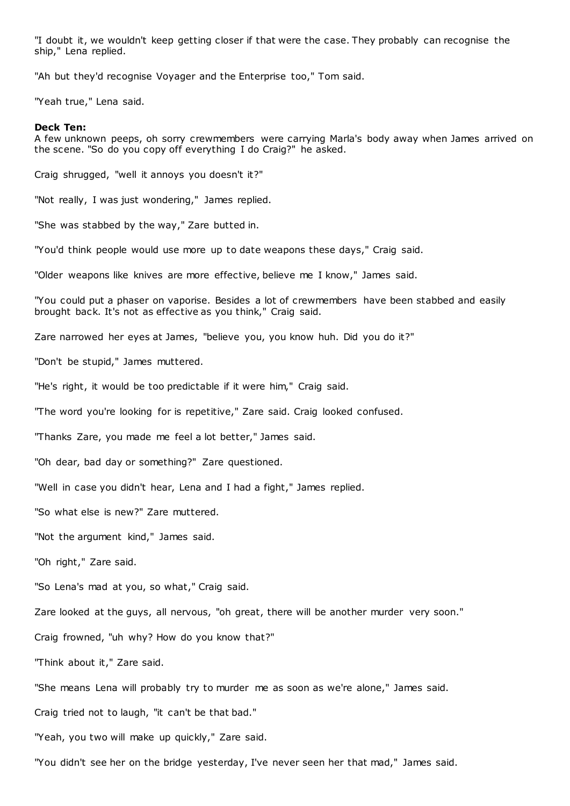"I doubt it, we wouldn't keep getting closer if that were the case. They probably can recognise the ship," Lena replied.

"Ah but they'd recognise Voyager and the Enterprise too," Tom said.

"Yeah true," Lena said.

#### **Deck Ten:**

A few unknown peeps, oh sorry crewmembers were carrying Marla's body away when James arrived on the scene. "So do you copy off everything I do Craig?" he asked.

Craig shrugged, "well it annoys you doesn't it?"

"Not really, I was just wondering," James replied.

"She was stabbed by the way," Zare butted in.

"You'd think people would use more up to date weapons these days," Craig said.

"Older weapons like knives are more effective, believe me I know," James said.

"You could put a phaser on vaporise. Besides a lot of crewmembers have been stabbed and easily brought back. It's not as effective as you think," Craig said.

Zare narrowed her eyes at James, "believe you, you know huh. Did you do it?"

"Don't be stupid," James muttered.

"He's right, it would be too predictable if it were him," Craig said.

"The word you're looking for is repetitive," Zare said. Craig looked confused.

"Thanks Zare, you made me feel a lot better," James said.

"Oh dear, bad day or something?" Zare questioned.

"Well in case you didn't hear, Lena and I had a fight," James replied.

"So what else is new?" Zare muttered.

"Not the argument kind," James said.

"Oh right," Zare said.

"So Lena's mad at you, so what," Craig said.

Zare looked at the guys, all nervous, "oh great, there will be another murder very soon."

Craig frowned, "uh why? How do you know that?"

"Think about it," Zare said.

"She means Lena will probably try to murder me as soon as we're alone," James said.

Craig tried not to laugh, "it can't be that bad."

"Yeah, you two will make up quickly," Zare said.

"You didn't see her on the bridge yesterday, I've never seen her that mad," James said.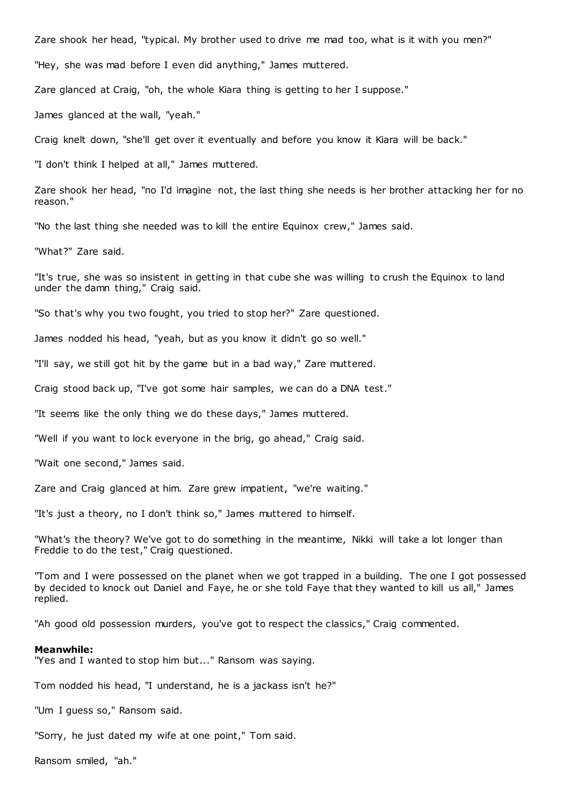Zare shook her head, "typical. My brother used to drive me mad too, what is it with you men?"

"Hey, she was mad before I even did anything," James muttered.

Zare glanced at Craig, "oh, the whole Kiara thing is getting to her I suppose."

James glanced at the wall, "yeah."

Craig knelt down, "she'll get over it eventually and before you know it Kiara will be back."

"I don't think I helped at all," James muttered.

Zare shook her head, "no I'd imagine not, the last thing she needs is her brother attacking her for no reason."

"No the last thing she needed was to kill the entire Equinox crew," James said.

"What?" Zare said.

"It's true, she was so insistent in getting in that cube she was willing to crush the Equinox to land under the damn thing," Craig said.

"So that's why you two fought, you tried to stop her?" Zare questioned.

James nodded his head, "yeah, but as you know it didn't go so well."

"I'll say, we still got hit by the game but in a bad way," Zare muttered.

Craig stood back up, "I've got some hair samples, we can do a DNA test."

"It seems like the only thing we do these days," James muttered.

"Well if you want to lock everyone in the brig, go ahead," Craig said.

"Wait one second," James said.

Zare and Craig glanced at him. Zare grew impatient, "we're waiting."

"It's just a theory, no I don't think so," James muttered to himself.

"What's the theory? We've got to do something in the meantime, Nikki will take a lot longer than Freddie to do the test," Craig questioned.

"Tom and I were possessed on the planet when we got trapped in a building. The one I got possessed by decided to knock out Daniel and Faye, he or she told Faye that they wanted to kill us all," James replied.

"Ah good old possession murders, you've got to respect the classics," Craig commented.

#### **Meanwhile:**

"Yes and I wanted to stop him but..." Ransom was saying.

Tom nodded his head, "I understand, he is a jackass isn't he?"

"Um I guess so," Ransom said.

"Sorry, he just dated my wife at one point," Tom said.

Ransom smiled, "ah."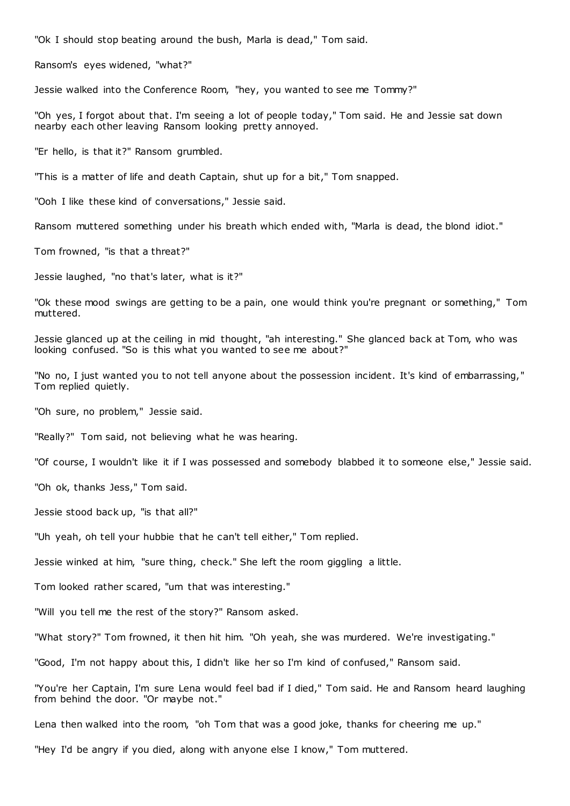"Ok I should stop beating around the bush, Marla is dead," Tom said.

Ransom's eyes widened, "what?"

Jessie walked into the Conference Room, "hey, you wanted to see me Tommy?"

"Oh yes, I forgot about that. I'm seeing a lot of people today," Tom said. He and Jessie sat down nearby each other leaving Ransom looking pretty annoyed.

"Er hello, is that it?" Ransom grumbled.

"This is a matter of life and death Captain, shut up for a bit," Tom snapped.

"Ooh I like these kind of conversations," Jessie said.

Ransom muttered something under his breath which ended with, "Marla is dead, the blond idiot."

Tom frowned, "is that a threat?"

Jessie laughed, "no that's later, what is it?"

"Ok these mood swings are getting to be a pain, one would think you're pregnant or something," Tom muttered.

Jessie glanced up at the ceiling in mid thought, "ah interesting." She glanced back at Tom, who was looking confused. "So is this what you wanted to see me about?"

"No no, I just wanted you to not tell anyone about the possession incident. It's kind of embarrassing," Tom replied quietly.

"Oh sure, no problem," Jessie said.

"Really?" Tom said, not believing what he was hearing.

"Of course, I wouldn't like it if I was possessed and somebody blabbed it to someone else," Jessie said.

"Oh ok, thanks Jess," Tom said.

Jessie stood back up, "is that all?"

"Uh yeah, oh tell your hubbie that he can't tell either," Tom replied.

Jessie winked at him, "sure thing, check." She left the room giggling a little.

Tom looked rather scared, "um that was interesting."

"Will you tell me the rest of the story?" Ransom asked.

"What story?" Tom frowned, it then hit him. "Oh yeah, she was murdered. We're investigating."

"Good, I'm not happy about this, I didn't like her so I'm kind of confused," Ransom said.

"You're her Captain, I'm sure Lena would feel bad if I died," Tom said. He and Ransom heard laughing from behind the door. "Or maybe not."

Lena then walked into the room, "oh Tom that was a good joke, thanks for cheering me up."

"Hey I'd be angry if you died, along with anyone else I know," Tom muttered.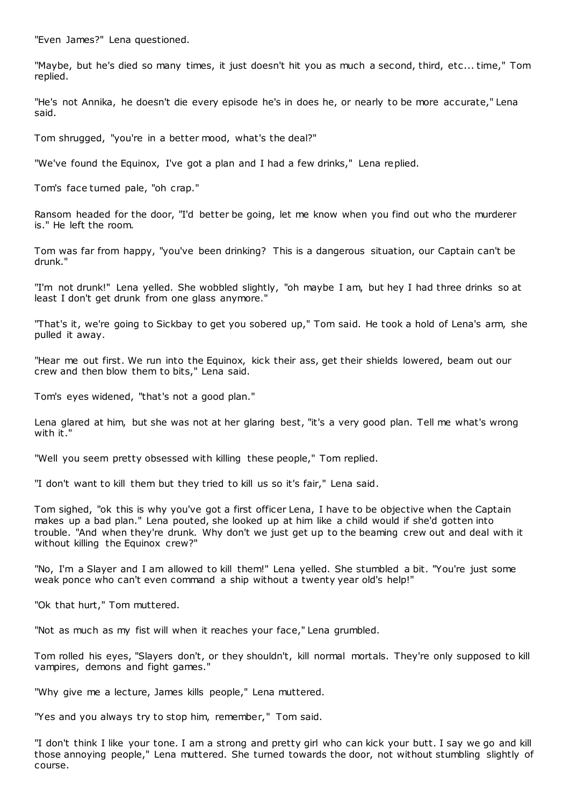"Even James?" Lena questioned.

"Maybe, but he's died so many times, it just doesn't hit you as much a second, third, etc ... time," Tom replied.

"He's not Annika, he doesn't die every episode he's in does he, or nearly to be more accurate," Lena said.

Tom shrugged, "you're in a better mood, what's the deal?"

"We've found the Equinox, I've got a plan and I had a few drinks," Lena replied.

Tom's face turned pale, "oh crap."

Ransom headed for the door, "I'd better be going, let me know when you find out who the murderer is." He left the room.

Tom was far from happy, "you've been drinking? This is a dangerous situation, our Captain can't be drunk."

"I'm not drunk!" Lena yelled. She wobbled slightly, "oh maybe I am, but hey I had three drinks so at least I don't get drunk from one glass anymore."

"That's it, we're going to Sickbay to get you sobered up," Tom said. He took a hold of Lena's arm, she pulled it away.

"Hear me out first. We run into the Equinox, kick their ass, get their shields lowered, beam out our crew and then blow them to bits," Lena said.

Tom's eyes widened, "that's not a good plan."

Lena glared at him, but she was not at her glaring best, "it's a very good plan. Tell me what's wrong with it."

"Well you seem pretty obsessed with killing these people," Tom replied.

"I don't want to kill them but they tried to kill us so it's fair," Lena said.

Tom sighed, "ok this is why you've got a first officer Lena, I have to be objective when the Captain makes up a bad plan." Lena pouted, she looked up at him like a child would if she'd gotten into trouble. "And when they're drunk. Why don't we just get up to the beaming crew out and deal with it without killing the Equinox crew?"

"No, I'm a Slayer and I am allowed to kill them!" Lena yelled. She stumbled a bit. "You're just some weak ponce who can't even command a ship without a twenty year old's help!"

"Ok that hurt," Tom muttered.

"Not as much as my fist will when it reaches your face," Lena grumbled.

Tom rolled his eyes, "Slayers don't, or they shouldn't, kill normal mortals. They're only supposed to kill vampires, demons and fight games."

"Why give me a lecture, James kills people," Lena muttered.

"Yes and you always try to stop him, remember," Tom said.

"I don't think I like your tone. I am a strong and pretty girl who can kick your butt. I say we go and kill those annoying people," Lena muttered. She turned towards the door, not without stumbling slightly of course.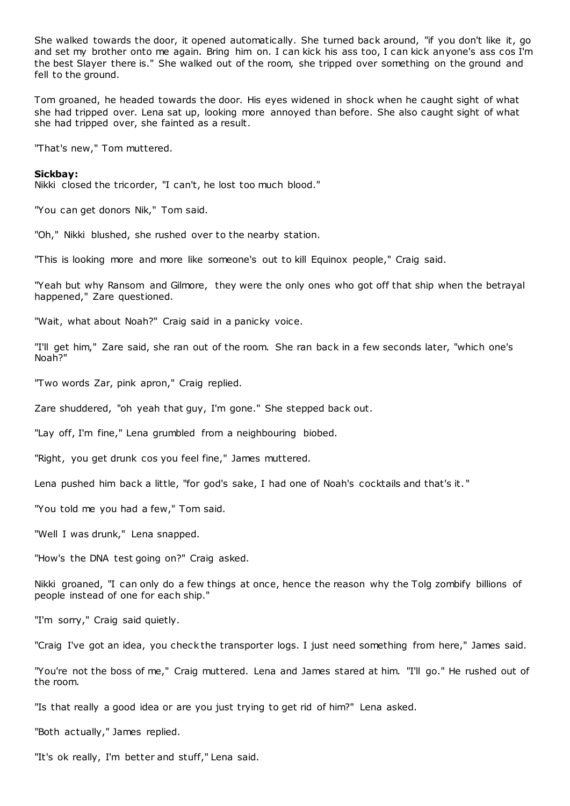She walked towards the door, it opened automatically. She turned back around, "if you don't like it, go and set my brother onto me again. Bring him on. I can kick his ass too, I can kick anyone's ass cos I'm the best Slayer there is." She walked out of the room, she tripped over something on the ground and fell to the ground.

Tom groaned, he headed towards the door. His eyes widened in shock when he caught sight of what she had tripped over. Lena sat up, looking more annoyed than before. She also caught sight of what she had tripped over, she fainted as a result.

"That's new," Tom muttered.

#### **Sickbay:**

Nikki closed the tricorder, "I can't, he lost too much blood."

"You can get donors Nik," Tom said.

"Oh," Nikki blushed, she rushed over to the nearby station.

"This is looking more and more like someone's out to kill Equinox people," Craig said.

"Yeah but why Ransom and Gilmore, they were the only ones who got off that ship when the betrayal happened," Zare questioned.

"Wait, what about Noah?" Craig said in a panicky voice.

"I'll get him," Zare said, she ran out of the room. She ran back in a few seconds later, "which one's Noah?"

"Two words Zar, pink apron," Craig replied.

Zare shuddered, "oh yeah that guy, I'm gone." She stepped back out.

"Lay off, I'm fine," Lena grumbled from a neighbouring biobed.

"Right, you get drunk cos you feel fine," James muttered.

Lena pushed him back a little, "for god's sake, I had one of Noah's cocktails and that's it. "

"You told me you had a few," Tom said.

"Well I was drunk," Lena snapped.

"How's the DNA test going on?" Craig asked.

Nikki groaned, "I can only do a few things at once, hence the reason why the Tolg zombify billions of people instead of one for each ship."

"I'm sorry," Craig said quietly.

"Craig I've got an idea, you check the transporter logs. I just need something from here," James said.

"You're not the boss of me," Craig muttered. Lena and James stared at him. "I'll go." He rushed out of the room.

"Is that really a good idea or are you just trying to get rid of him?" Lena asked.

"Both actually," James replied.

"It's ok really, I'm better and stuff," Lena said.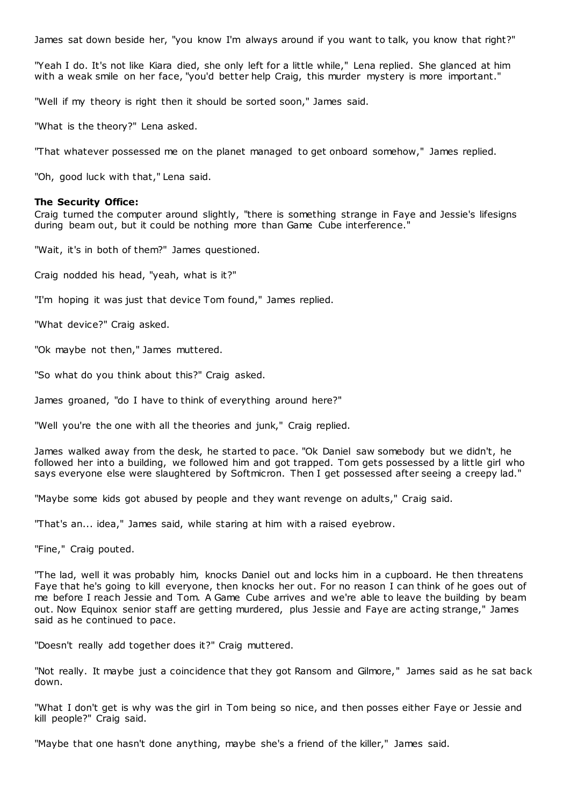James sat down beside her, "you know I'm always around if you want to talk, you know that right?"

"Yeah I do. It's not like Kiara died, she only left for a little while," Lena replied. She glanced at him with a weak smile on her face, "you'd better help Craig, this murder mystery is more important."

"Well if my theory is right then it should be sorted soon," James said.

"What is the theory?" Lena asked.

"That whatever possessed me on the planet managed to get onboard somehow," James replied.

"Oh, good luck with that," Lena said.

# **The Security Office:**

Craig turned the computer around slightly, "there is something strange in Faye and Jessie's lifesigns during beam out, but it could be nothing more than Game Cube interference.

"Wait, it's in both of them?" James questioned.

Craig nodded his head, "yeah, what is it?"

"I'm hoping it was just that device Tom found," James replied.

"What device?" Craig asked.

"Ok maybe not then," James muttered.

"So what do you think about this?" Craig asked.

James groaned, "do I have to think of everything around here?"

"Well you're the one with all the theories and junk," Craig replied.

James walked away from the desk, he started to pace. "Ok Daniel saw somebody but we didn't, he followed her into a building, we followed him and got trapped. Tom gets possessed by a little girl who says everyone else were slaughtered by Softmicron. Then I get possessed after seeing a creepy lad."

"Maybe some kids got abused by people and they want revenge on adults," Craig said.

"That's an... idea," James said, while staring at him with a raised eyebrow.

"Fine," Craig pouted.

"The lad, well it was probably him, knocks Daniel out and locks him in a cupboard. He then threatens Faye that he's going to kill everyone, then knocks her out. For no reason I can think of he goes out of me before I reach Jessie and Tom. A Game Cube arrives and we're able to leave the building by beam out. Now Equinox senior staff are getting murdered, plus Jessie and Faye are acting strange," James said as he continued to pace.

"Doesn't really add together does it?" Craig muttered.

"Not really. It maybe just a coincidence that they got Ransom and Gilmore," James said as he sat back down.

"What I don't get is why was the girl in Tom being so nice, and then posses either Faye or Jessie and kill people?" Craig said.

"Maybe that one hasn't done anything, maybe she's a friend of the killer," James said.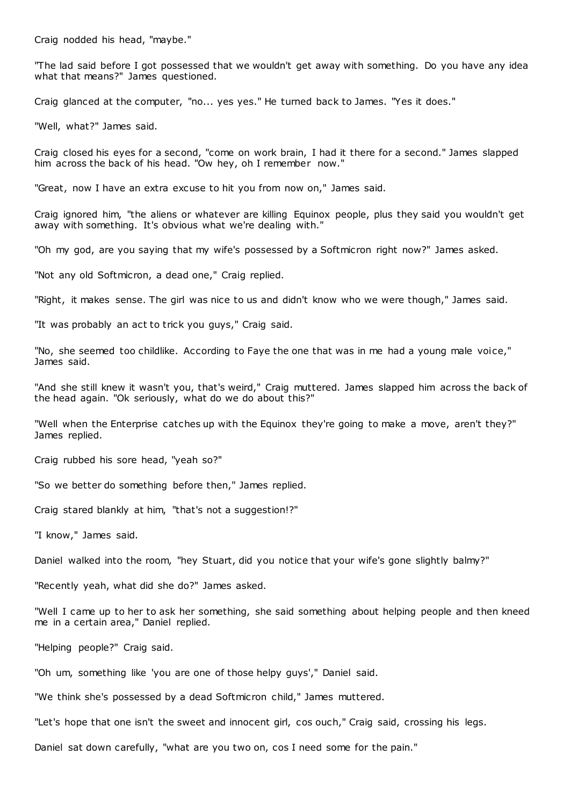Craig nodded his head, "maybe."

"The lad said before I got possessed that we wouldn't get away with something. Do you have any idea what that means?" James questioned.

Craig glanced at the computer, "no... yes yes." He turned back to James. "Yes it does."

"Well, what?" James said.

Craig closed his eyes for a second, "come on work brain, I had it there for a second." James slapped him across the back of his head. "Ow hey, oh I remember now."

"Great, now I have an extra excuse to hit you from now on," James said.

Craig ignored him, "the aliens or whatever are killing Equinox people, plus they said you wouldn't get away with something. It's obvious what we're dealing with."

"Oh my god, are you saying that my wife's possessed by a Softmicron right now?" James asked.

"Not any old Softmicron, a dead one," Craig replied.

"Right, it makes sense. The girl was nice to us and didn't know who we were though," James said.

"It was probably an act to trick you guys," Craig said.

"No, she seemed too childlike. According to Faye the one that was in me had a young male voice," James said.

"And she still knew it wasn't you, that's weird," Craig muttered. James slapped him across the back of the head again. "Ok seriously, what do we do about this?"

"Well when the Enterprise catches up with the Equinox they're going to make a move, aren't they?" James replied.

Craig rubbed his sore head, "yeah so?"

"So we better do something before then," James replied.

Craig stared blankly at him, "that's not a suggestion!?"

"I know," James said.

Daniel walked into the room, "hey Stuart, did you notice that your wife's gone slightly balmy?"

"Recently yeah, what did she do?" James asked.

"Well I came up to her to ask her something, she said something about helping people and then kneed me in a certain area," Daniel replied.

"Helping people?" Craig said.

"Oh um, something like 'you are one of those helpy guys'," Daniel said.

"We think she's possessed by a dead Softmicron child," James muttered.

"Let's hope that one isn't the sweet and innocent girl, cos ouch," Craig said, crossing his legs.

Daniel sat down carefully, "what are you two on, cos I need some for the pain."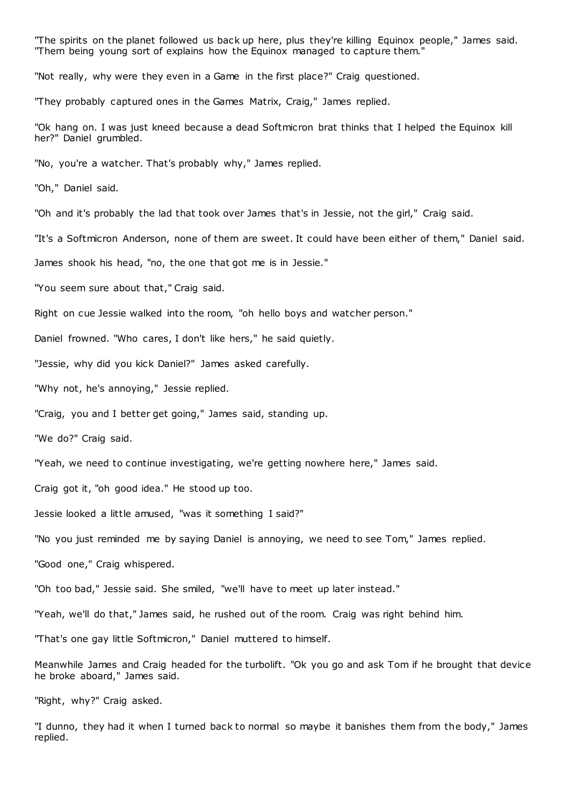"The spirits on the planet followed us back up here, plus they're killing Equinox people," James said. "Them being young sort of explains how the Equinox managed to capture them."

"Not really, why were they even in a Game in the first place?" Craig questioned.

"They probably captured ones in the Games Matrix, Craig," James replied.

"Ok hang on. I was just kneed because a dead Softmicron brat thinks that I helped the Equinox kill her?" Daniel grumbled.

"No, you're a watcher. That's probably why," James replied.

"Oh," Daniel said.

"Oh and it's probably the lad that took over James that's in Jessie, not the girl," Craig said.

"It's a Softmicron Anderson, none of them are sweet. It could have been either of them," Daniel said.

James shook his head, "no, the one that got me is in Jessie."

"You seem sure about that," Craig said.

Right on cue Jessie walked into the room, "oh hello boys and watcher person."

Daniel frowned. "Who cares, I don't like hers," he said quietly.

"Jessie, why did you kick Daniel?" James asked carefully.

"Why not, he's annoying," Jessie replied.

"Craig, you and I better get going," James said, standing up.

"We do?" Craig said.

"Yeah, we need to continue investigating, we're getting nowhere here," James said.

Craig got it, "oh good idea." He stood up too.

Jessie looked a little amused, "was it something I said?"

"No you just reminded me by saying Daniel is annoying, we need to see Tom," James replied.

"Good one," Craig whispered.

"Oh too bad," Jessie said. She smiled, "we'll have to meet up later instead."

"Yeah, we'll do that," James said, he rushed out of the room. Craig was right behind him.

"That's one gay little Softmicron," Daniel muttered to himself.

Meanwhile James and Craig headed for the turbolift. "Ok you go and ask Tom if he brought that device he broke aboard," James said.

"Right, why?" Craig asked.

"I dunno, they had it when I turned back to normal so maybe it banishes them from the body," James replied.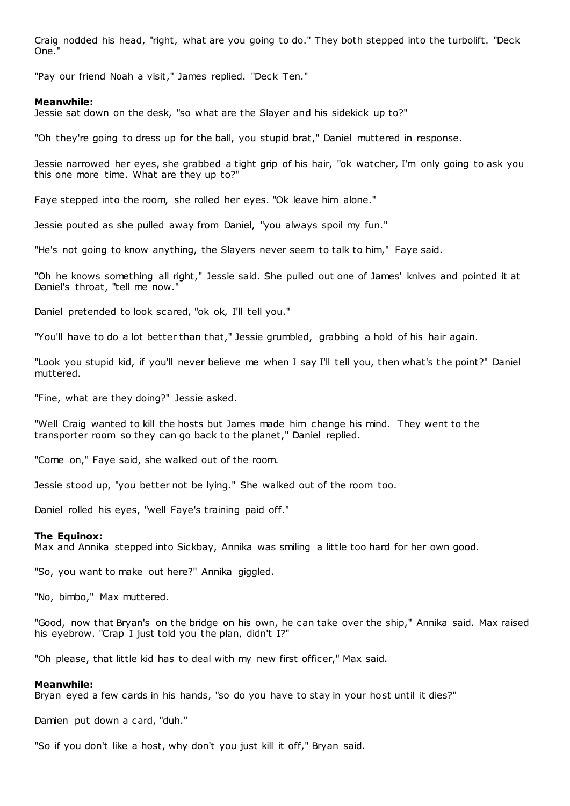Craig nodded his head, "right, what are you going to do." They both stepped into the turbolift. "Deck One."

"Pay our friend Noah a visit," James replied. "Deck Ten."

# **Meanwhile:**

Jessie sat down on the desk, "so what are the Slayer and his sidekick up to?"

"Oh they're going to dress up for the ball, you stupid brat," Daniel muttered in response.

Jessie narrowed her eyes, she grabbed a tight grip of his hair, "ok watcher, I'm only going to ask you this one more time. What are they up to?"

Faye stepped into the room, she rolled her eyes. "Ok leave him alone."

Jessie pouted as she pulled away from Daniel, "you always spoil my fun."

"He's not going to know anything, the Slayers never seem to talk to him," Faye said.

"Oh he knows something all right," Jessie said. She pulled out one of James' knives and pointed it at Daniel's throat, "tell me now."

Daniel pretended to look scared, "ok ok, I'll tell you."

"You'll have to do a lot better than that," Jessie grumbled, grabbing a hold of his hair again.

"Look you stupid kid, if you'll never believe me when I say I'll tell you, then what's the point?" Daniel muttered.

"Fine, what are they doing?" Jessie asked.

"Well Craig wanted to kill the hosts but James made him change his mind. They went to the transporter room so they can go back to the planet," Daniel replied.

"Come on," Faye said, she walked out of the room.

Jessie stood up, "you better not be lying." She walked out of the room too.

Daniel rolled his eyes, "well Faye's training paid off."

### **The Equinox:**

Max and Annika stepped into Sickbay, Annika was smiling a little too hard for her own good.

"So, you want to make out here?" Annika giggled.

"No, bimbo," Max muttered.

"Good, now that Bryan's on the bridge on his own, he can take over the ship," Annika said. Max raised his eyebrow. "Crap I just told you the plan, didn't I?"

"Oh please, that little kid has to deal with my new first officer," Max said.

### **Meanwhile:**

Bryan eyed a few cards in his hands, "so do you have to stay in your host until it dies?"

Damien put down a card, "duh."

"So if you don't like a host, why don't you just kill it off," Bryan said.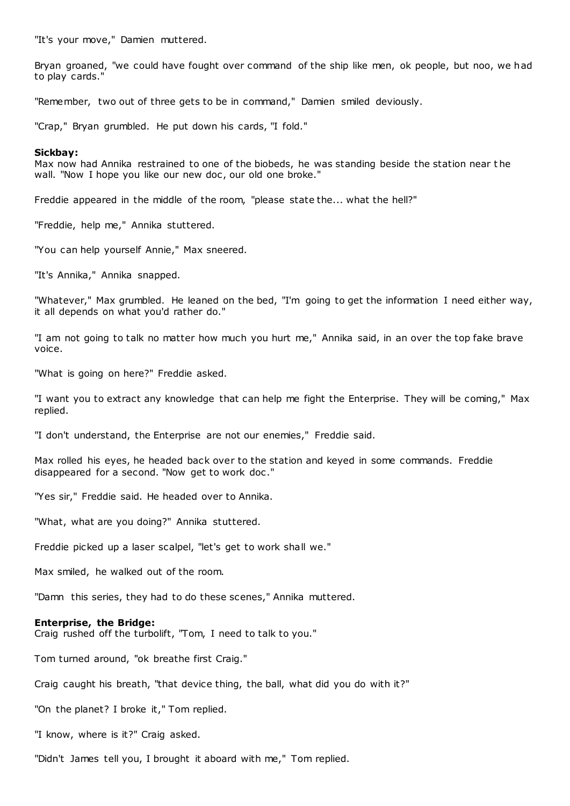"It's your move," Damien muttered.

Bryan groaned, "we could have fought over command of the ship like men, ok people, but noo, we had to play cards."

"Remember, two out of three gets to be in command," Damien smiled deviously.

"Crap," Bryan grumbled. He put down his cards, "I fold."

### **Sickbay:**

Max now had Annika restrained to one of the biobeds, he was standing beside the station near t he wall. "Now I hope you like our new doc, our old one broke."

Freddie appeared in the middle of the room, "please state the... what the hell?"

"Freddie, help me," Annika stuttered.

"You can help yourself Annie," Max sneered.

"It's Annika," Annika snapped.

"Whatever," Max grumbled. He leaned on the bed, "I'm going to get the information I need either way, it all depends on what you'd rather do."

"I am not going to talk no matter how much you hurt me," Annika said, in an over the top fake brave voice.

"What is going on here?" Freddie asked.

"I want you to extract any knowledge that can help me fight the Enterprise. They will be coming," Max replied.

"I don't understand, the Enterprise are not our enemies," Freddie said.

Max rolled his eyes, he headed back over to the station and keyed in some commands. Freddie disappeared for a second. "Now get to work doc ."

"Yes sir," Freddie said. He headed over to Annika.

"What, what are you doing?" Annika stuttered.

Freddie picked up a laser scalpel, "let's get to work shall we."

Max smiled, he walked out of the room.

"Damn this series, they had to do these scenes," Annika muttered.

### **Enterprise, the Bridge:**

Craig rushed off the turbolift, "Tom, I need to talk to you."

Tom turned around, "ok breathe first Craig."

Craig caught his breath, "that device thing, the ball, what did you do with it?"

"On the planet? I broke it," Tom replied.

"I know, where is it?" Craig asked.

"Didn't James tell you, I brought it aboard with me," Tom replied.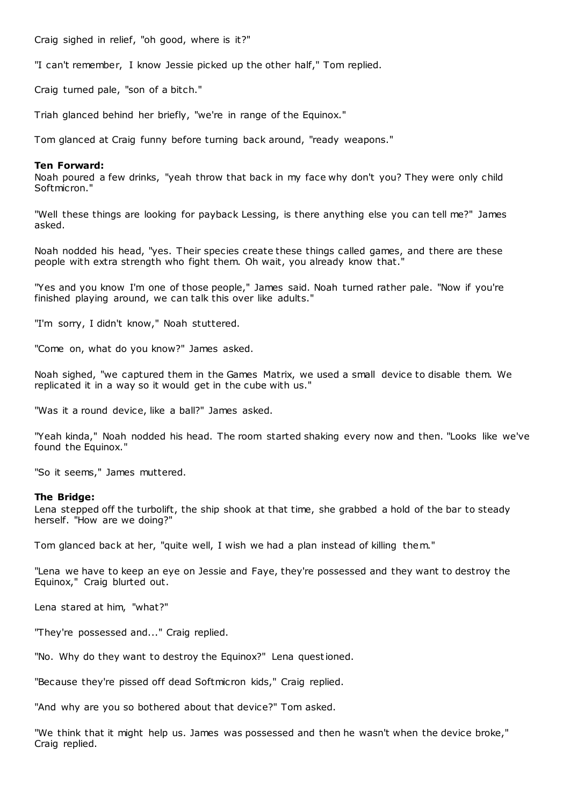Craig sighed in relief, "oh good, where is it?"

"I can't remember, I know Jessie picked up the other half," Tom replied.

Craig turned pale, "son of a bitch."

Triah glanced behind her briefly, "we're in range of the Equinox."

Tom glanced at Craig funny before turning back around, "ready weapons."

# **Ten Forward:**

Noah poured a few drinks, "yeah throw that back in my face why don't you? They were only child Softmicron."

"Well these things are looking for payback Lessing, is there anything else you can tell me?" James asked.

Noah nodded his head, "yes. Their species create these things called games, and there are these people with extra strength who fight them. Oh wait, you already know that.

"Yes and you know I'm one of those people," James said. Noah turned rather pale. "Now if you're finished playing around, we can talk this over like adults."

"I'm sorry, I didn't know," Noah stuttered.

"Come on, what do you know?" James asked.

Noah sighed, "we captured them in the Games Matrix, we used a small device to disable them. We replicated it in a way so it would get in the cube with us."

"Was it a round device, like a ball?" James asked.

"Yeah kinda," Noah nodded his head. The room started shaking every now and then. "Looks like we've found the Equinox."

"So it seems," James muttered.

# **The Bridge:**

Lena stepped off the turbolift, the ship shook at that time, she grabbed a hold of the bar to steady herself. "How are we doing?"

Tom glanced back at her, "quite well, I wish we had a plan instead of killing them."

"Lena we have to keep an eye on Jessie and Faye, they're possessed and they want to destroy the Equinox," Craig blurted out.

Lena stared at him, "what?"

"They're possessed and..." Craig replied.

"No. Why do they want to destroy the Equinox?" Lena questioned.

"Because they're pissed off dead Softmicron kids," Craig replied.

"And why are you so bothered about that device?" Tom asked.

"We think that it might help us. James was possessed and then he wasn't when the device broke," Craig replied.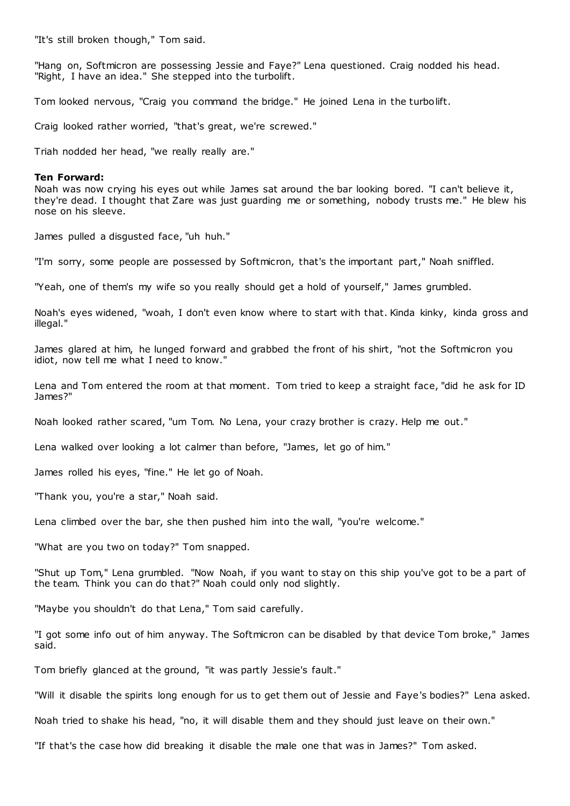"It's still broken though," Tom said.

"Hang on, Softmicron are possessing Jessie and Faye?" Lena questioned. Craig nodded his head. "Right, I have an idea." She stepped into the turbolift.

Tom looked nervous, "Craig you command the bridge." He joined Lena in the turbolift.

Craig looked rather worried, "that's great, we're screwed."

Triah nodded her head, "we really really are."

### **Ten Forward:**

Noah was now crying his eyes out while James sat around the bar looking bored. "I can't believe it, they're dead. I thought that Zare was just guarding me or something, nobody trusts me." He blew his nose on his sleeve.

James pulled a disgusted face, "uh huh."

"I'm sorry, some people are possessed by Softmicron, that's the important part," Noah sniffled.

"Yeah, one of them's my wife so you really should get a hold of yourself," James grumbled.

Noah's eyes widened, "woah, I don't even know where to start with that. Kinda kinky, kinda gross and illegal."

James glared at him, he lunged forward and grabbed the front of his shirt, "not the Softmicron you idiot, now tell me what I need to know.'

Lena and Tom entered the room at that moment. Tom tried to keep a straight face, "did he ask for ID James?"

Noah looked rather scared, "um Tom. No Lena, your crazy brother is crazy. Help me out."

Lena walked over looking a lot calmer than before, "James, let go of him."

James rolled his eyes, "fine." He let go of Noah.

"Thank you, you're a star," Noah said.

Lena climbed over the bar, she then pushed him into the wall, "you're welcome."

"What are you two on today?" Tom snapped.

"Shut up Tom," Lena grumbled. "Now Noah, if you want to stay on this ship you've got to be a part of the team. Think you can do that?" Noah could only nod slightly.

"Maybe you shouldn't do that Lena," Tom said carefully.

"I got some info out of him anyway. The Softmicron can be disabled by that device Tom broke," James said.

Tom briefly glanced at the ground, "it was partly Jessie's fault."

"Will it disable the spirits long enough for us to get them out of Jessie and Faye's bodies?" Lena asked.

Noah tried to shake his head, "no, it will disable them and they should just leave on their own."

"If that's the case how did breaking it disable the male one that was in James?" Tom asked.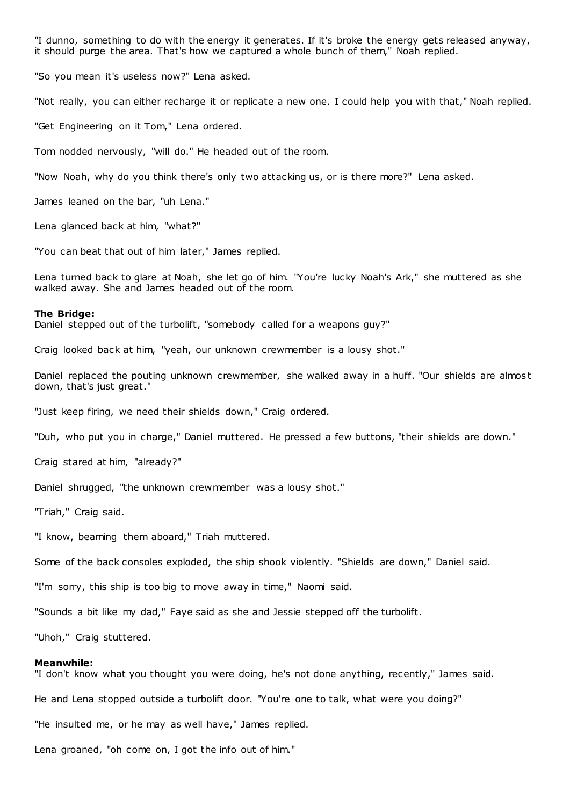"I dunno, something to do with the energy it generates. If it's broke the energy gets released anyway, it should purge the area. That's how we captured a whole bunch of them," Noah replied.

"So you mean it's useless now?" Lena asked.

"Not really, you can either recharge it or replicate a new one. I could help you with that," Noah replied.

"Get Engineering on it Tom," Lena ordered.

Tom nodded nervously, "will do." He headed out of the room.

"Now Noah, why do you think there's only two attacking us, or is there more?" Lena asked.

James leaned on the bar, "uh Lena."

Lena glanced back at him, "what?"

"You can beat that out of him later," James replied.

Lena turned back to glare at Noah, she let go of him. "You're lucky Noah's Ark," she muttered as she walked away. She and James headed out of the room.

#### **The Bridge:**

Daniel stepped out of the turbolift, "somebody called for a weapons guy?"

Craig looked back at him, "yeah, our unknown crewmember is a lousy shot."

Daniel replaced the pouting unknown crewmember, she walked away in a huff. "Our shields are almos t down, that's just great."

"Just keep firing, we need their shields down," Craig ordered.

"Duh, who put you in charge," Daniel muttered. He pressed a few buttons, "their shields are down."

Craig stared at him, "already?"

Daniel shrugged, "the unknown crewmember was a lousy shot."

"Triah," Craig said.

"I know, beaming them aboard," Triah muttered.

Some of the back consoles exploded, the ship shook violently. "Shields are down," Daniel said.

"I'm sorry, this ship is too big to move away in time," Naomi said.

"Sounds a bit like my dad," Faye said as she and Jessie stepped off the turbolift.

"Uhoh," Craig stuttered.

#### **Meanwhile:**

"I don't know what you thought you were doing, he's not done anything, recently," James said.

He and Lena stopped outside a turbolift door. "You're one to talk, what were you doing?"

"He insulted me, or he may as well have," James replied.

Lena groaned, "oh come on, I got the info out of him."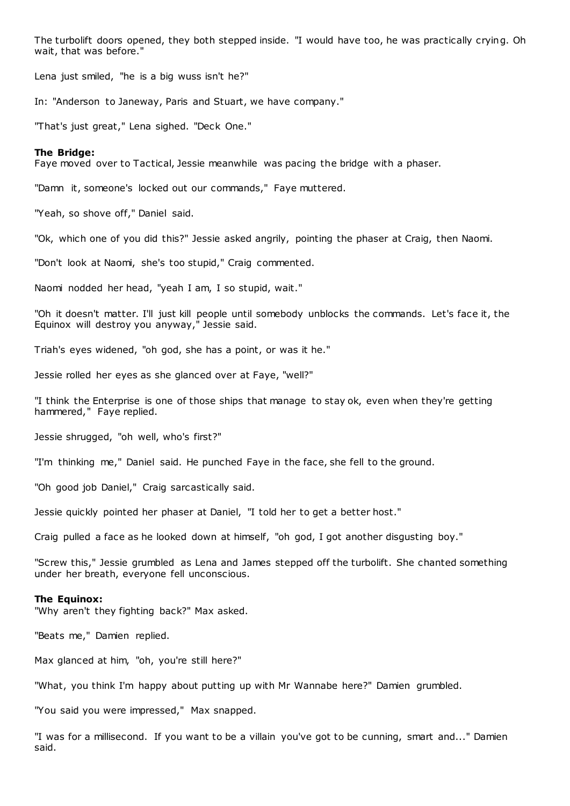The turbolift doors opened, they both stepped inside. "I would have too, he was practically crying. Oh wait, that was before."

Lena just smiled, "he is a big wuss isn't he?"

In: "Anderson to Janeway, Paris and Stuart, we have company."

"That's just great," Lena sighed. "Deck One."

# **The Bridge:**

Faye moved over to Tactical, Jessie meanwhile was pacing the bridge with a phaser.

"Damn it, someone's locked out our commands," Faye muttered.

"Yeah, so shove off," Daniel said.

"Ok, which one of you did this?" Jessie asked angrily, pointing the phaser at Craig, then Naomi.

"Don't look at Naomi, she's too stupid," Craig commented.

Naomi nodded her head, "yeah I am, I so stupid, wait."

"Oh it doesn't matter. I'll just kill people until somebody unblocks the commands. Let's face it, the Equinox will destroy you anyway," Jessie said.

Triah's eyes widened, "oh god, she has a point, or was it he."

Jessie rolled her eyes as she glanced over at Faye, "well?"

"I think the Enterprise is one of those ships that manage to stay ok, even when they're getting hammered," Faye replied.

Jessie shrugged, "oh well, who's first?"

"I'm thinking me," Daniel said. He punched Faye in the face, she fell to the ground.

"Oh good job Daniel," Craig sarcastically said.

Jessie quickly pointed her phaser at Daniel, "I told her to get a better host."

Craig pulled a face as he looked down at himself, "oh god, I got another disgusting boy."

"Screw this," Jessie grumbled as Lena and James stepped off the turbolift. She chanted something under her breath, everyone fell unconscious.

#### **The Equinox:**

"Why aren't they fighting back?" Max asked.

"Beats me," Damien replied.

Max glanced at him, "oh, you're still here?"

"What, you think I'm happy about putting up with Mr Wannabe here?" Damien grumbled.

"You said you were impressed," Max snapped.

"I was for a millisecond. If you want to be a villain you've got to be cunning, smart and..." Damien said.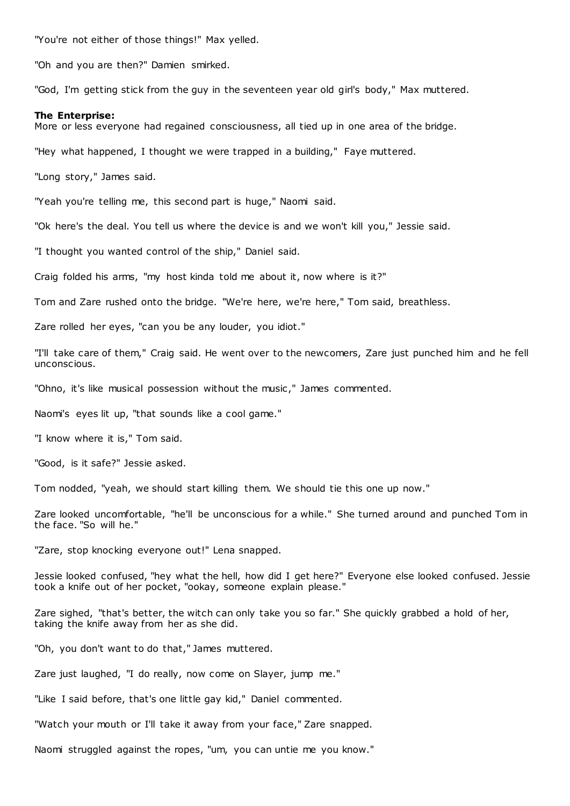"You're not either of those things!" Max yelled.

"Oh and you are then?" Damien smirked.

"God, I'm getting stick from the guy in the seventeen year old girl's body," Max muttered.

#### **The Enterprise:**

More or less everyone had regained consciousness, all tied up in one area of the bridge.

"Hey what happened, I thought we were trapped in a building," Faye muttered.

"Long story," James said.

"Yeah you're telling me, this second part is huge," Naomi said.

"Ok here's the deal. You tell us where the device is and we won't kill you," Jessie said.

"I thought you wanted control of the ship," Daniel said.

Craig folded his arms, "my host kinda told me about it, now where is it?"

Tom and Zare rushed onto the bridge. "We're here, we're here," Tom said, breathless.

Zare rolled her eyes, "can you be any louder, you idiot."

"I'll take care of them," Craig said. He went over to the newcomers, Zare just punched him and he fell unconscious.

"Ohno, it's like musical possession without the music ," James commented.

Naomi's eyes lit up, "that sounds like a cool game."

"I know where it is," Tom said.

"Good, is it safe?" Jessie asked.

Tom nodded, "yeah, we should start killing them. We should tie this one up now."

Zare looked uncomfortable, "he'll be unconscious for a while." She turned around and punched Tom in the face. "So will he."

"Zare, stop knocking everyone out!" Lena snapped.

Jessie looked confused, "hey what the hell, how did I get here?" Everyone else looked confused. Jessie took a knife out of her pocket, "ookay, someone explain please."

Zare sighed, "that's better, the witch can only take you so far." She quickly grabbed a hold of her, taking the knife away from her as she did.

"Oh, you don't want to do that," James muttered.

Zare just laughed, "I do really, now come on Slayer, jump me."

"Like I said before, that's one little gay kid," Daniel commented.

"Watch your mouth or I'll take it away from your face," Zare snapped.

Naomi struggled against the ropes, "um, you can untie me you know."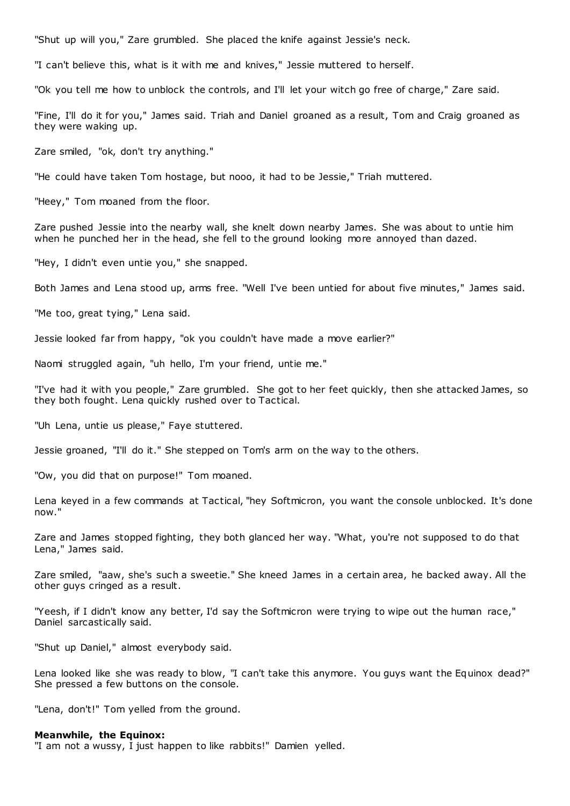"Shut up will you," Zare grumbled. She placed the knife against Jessie's neck.

"I can't believe this, what is it with me and knives," Jessie muttered to herself.

"Ok you tell me how to unblock the controls, and I'll let your witch go free of charge," Zare said.

"Fine, I'll do it for you," James said. Triah and Daniel groaned as a result, Tom and Craig groaned as they were waking up.

Zare smiled, "ok, don't try anything."

"He could have taken Tom hostage, but nooo, it had to be Jessie," Triah muttered.

"Heey," Tom moaned from the floor.

Zare pushed Jessie into the nearby wall, she knelt down nearby James. She was about to untie him when he punched her in the head, she fell to the ground looking more annoyed than dazed.

"Hey, I didn't even untie you," she snapped.

Both James and Lena stood up, arms free. "Well I've been untied for about five minutes," James said.

"Me too, great tying," Lena said.

Jessie looked far from happy, "ok you couldn't have made a move earlier?"

Naomi struggled again, "uh hello, I'm your friend, untie me."

"I've had it with you people," Zare grumbled. She got to her feet quickly, then she attacked James, so they both fought. Lena quickly rushed over to Tactical.

"Uh Lena, untie us please," Faye stuttered.

Jessie groaned, "I'll do it." She stepped on Tom's arm on the way to the others.

"Ow, you did that on purpose!" Tom moaned.

Lena keyed in a few commands at Tactical, "hey Softmicron, you want the console unblocked. It's done now."

Zare and James stopped fighting, they both glanced her way. "What, you're not supposed to do that Lena," James said.

Zare smiled, "aaw, she's such a sweetie." She kneed James in a certain area, he backed away. All the other guys cringed as a result.

"Yeesh, if I didn't know any better, I'd say the Softmicron were trying to wipe out the human race," Daniel sarcastically said.

"Shut up Daniel," almost everybody said.

Lena looked like she was ready to blow, "I can't take this anymore. You guys want the Equinox dead?" She pressed a few buttons on the console.

"Lena, don't!" Tom yelled from the ground.

#### **Meanwhile, the Equinox:**

"I am not a wussy, I just happen to like rabbits!" Damien yelled.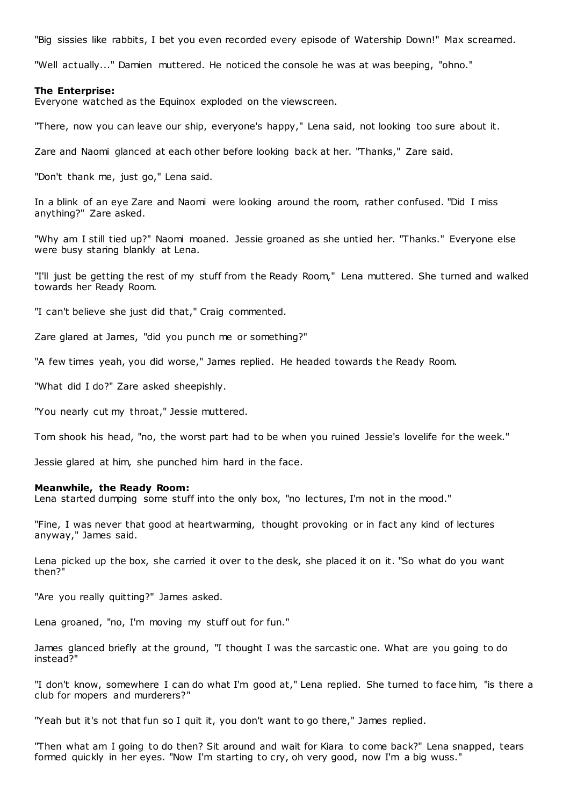"Big sissies like rabbits, I bet you even recorded every episode of Watership Down!" Max screamed.

"Well actually..." Damien muttered. He noticed the console he was at was beeping, "ohno."

#### **The Enterprise:**

Everyone watched as the Equinox exploded on the viewscreen.

"There, now you can leave our ship, everyone's happy," Lena said, not looking too sure about it.

Zare and Naomi glanced at each other before looking back at her. "Thanks," Zare said.

"Don't thank me, just go," Lena said.

In a blink of an eye Zare and Naomi were looking around the room, rather confused. "Did I miss anything?" Zare asked.

"Why am I still tied up?" Naomi moaned. Jessie groaned as she untied her. "Thanks." Everyone else were busy staring blankly at Lena.

"I'll just be getting the rest of my stuff from the Ready Room," Lena muttered. She turned and walked towards her Ready Room.

"I can't believe she just did that," Craig commented.

Zare glared at James, "did you punch me or something?"

"A few times yeah, you did worse," James replied. He headed towards t he Ready Room.

"What did I do?" Zare asked sheepishly.

"You nearly cut my throat," Jessie muttered.

Tom shook his head, "no, the worst part had to be when you ruined Jessie's lovelife for the week."

Jessie glared at him, she punched him hard in the face.

# **Meanwhile, the Ready Room:**

Lena started dumping some stuff into the only box, "no lectures, I'm not in the mood."

"Fine, I was never that good at heartwarming, thought provoking or in fact any kind of lectures anyway," James said.

Lena picked up the box, she carried it over to the desk, she placed it on it. "So what do you want then?"

"Are you really quitting?" James asked.

Lena groaned, "no, I'm moving my stuff out for fun."

James glanced briefly at the ground, "I thought I was the sarcastic one. What are you going to do instead?"

"I don't know, somewhere I can do what I'm good at," Lena replied. She turned to face him, "is there a club for mopers and murderers?"

"Yeah but it's not that fun so I quit it, you don't want to go there," James replied.

"Then what am I going to do then? Sit around and wait for Kiara to come back?" Lena snapped, tears formed quickly in her eyes. "Now I'm starting to cry, oh very good, now I'm a big wuss."